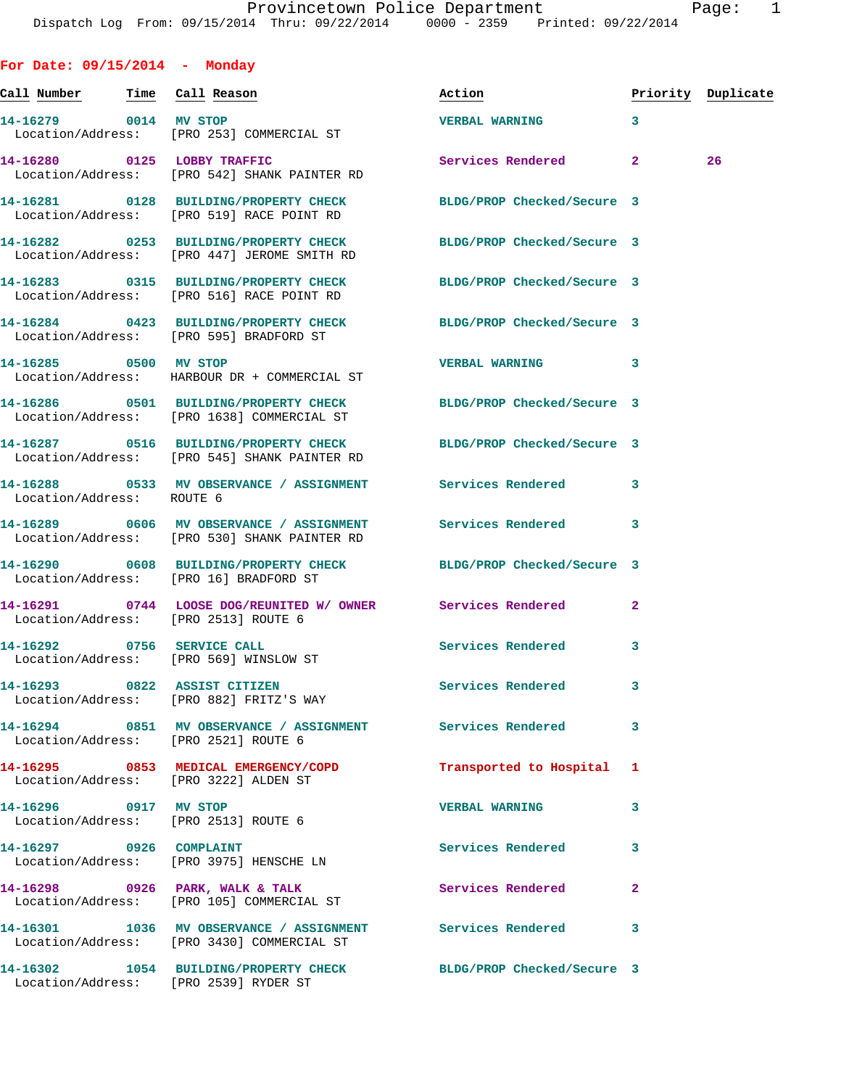| For Date: $09/15/2014$ - Monday                                      |                                                                                                                  |                                                     |                    |    |
|----------------------------------------------------------------------|------------------------------------------------------------------------------------------------------------------|-----------------------------------------------------|--------------------|----|
| <u>Call Number — Time Call</u> Reason                                |                                                                                                                  | Action                                              | Priority Duplicate |    |
| 14-16279 0014 MV STOP                                                | Location/Address: [PRO 253] COMMERCIAL ST                                                                        | <b>VERBAL WARNING</b><br>$\overline{\phantom{a}}$ 3 |                    |    |
|                                                                      | 14-16280 0125 LOBBY TRAFFIC<br>Location/Address: [PRO 542] SHANK PAINTER RD                                      | Services Rendered 2                                 |                    | 26 |
|                                                                      | 14-16281 0128 BUILDING/PROPERTY CHECK BLDG/PROP Checked/Secure 3<br>Location/Address: [PRO 519] RACE POINT RD    |                                                     |                    |    |
|                                                                      | 14-16282 0253 BUILDING/PROPERTY CHECK BLDG/PROP Checked/Secure 3<br>Location/Address: [PRO 447] JEROME SMITH RD  |                                                     |                    |    |
|                                                                      | 14-16283 0315 BUILDING/PROPERTY CHECK BLDG/PROP Checked/Secure 3<br>Location/Address: [PRO 516] RACE POINT RD    |                                                     |                    |    |
|                                                                      | 14-16284 0423 BUILDING/PROPERTY CHECK BLDG/PROP Checked/Secure 3<br>Location/Address: [PRO 595] BRADFORD ST      |                                                     |                    |    |
| 14-16285 0500 MV STOP                                                | Location/Address: HARBOUR DR + COMMERCIAL ST                                                                     | VERBAL WARNING 3                                    |                    |    |
|                                                                      | 14-16286 0501 BUILDING/PROPERTY CHECK BLDG/PROP Checked/Secure 3<br>Location/Address: [PRO 1638] COMMERCIAL ST   |                                                     |                    |    |
|                                                                      | 14-16287 0516 BUILDING/PROPERTY CHECK BLDG/PROP Checked/Secure 3<br>Location/Address: [PRO 545] SHANK PAINTER RD |                                                     |                    |    |
| Location/Address: ROUTE 6                                            | 14-16288 0533 MV OBSERVANCE / ASSIGNMENT Services Rendered 3                                                     |                                                     |                    |    |
|                                                                      | Location/Address: [PRO 530] SHANK PAINTER RD                                                                     |                                                     | 3                  |    |
|                                                                      | 14-16290 0608 BUILDING/PROPERTY CHECK BLDG/PROP Checked/Secure 3<br>Location/Address: [PRO 16] BRADFORD ST       |                                                     |                    |    |
| Location/Address: [PRO 2513] ROUTE 6                                 | 14-16291 0744 LOOSE DOG/REUNITED W/ OWNER Services Rendered                                                      |                                                     | $\mathbf{2}$       |    |
| 14-16292 0756 SERVICE CALL<br>Location/Address: [PRO 569] WINSLOW ST |                                                                                                                  | Services Rendered 3                                 |                    |    |
|                                                                      | 14-16293 0822 ASSIST CITIZEN<br>Location/Address: [PRO 882] FRITZ'S WAY                                          | Services Rendered                                   | 3                  |    |
| Location/Address: [PRO 2521] ROUTE 6                                 | 14-16294 0851 MV OBSERVANCE / ASSIGNMENT Services Rendered                                                       |                                                     | 3                  |    |
| Location/Address: [PRO 3222] ALDEN ST                                | 14-16295 0853 MEDICAL EMERGENCY/COPD                                                                             | Transported to Hospital 1                           |                    |    |
| 14-16296 0917 MV STOP<br>Location/Address: [PRO 2513] ROUTE 6        |                                                                                                                  | <b>VERBAL WARNING</b>                               | 3                  |    |
| 14-16297 0926 COMPLAINT                                              | Location/Address: [PRO 3975] HENSCHE LN                                                                          | Services Rendered                                   | 3                  |    |
|                                                                      | 14-16298 0926 PARK, WALK & TALK<br>Location/Address: [PRO 105] COMMERCIAL ST                                     | Services Rendered                                   | $\mathbf{2}$       |    |
|                                                                      | 14-16301 1036 MV OBSERVANCE / ASSIGNMENT Services Rendered<br>Location/Address: [PRO 3430] COMMERCIAL ST         |                                                     | 3                  |    |
| Location/Address: [PRO 2539] RYDER ST                                | 14-16302 1054 BUILDING/PROPERTY CHECK BLDG/PROP Checked/Secure 3                                                 |                                                     |                    |    |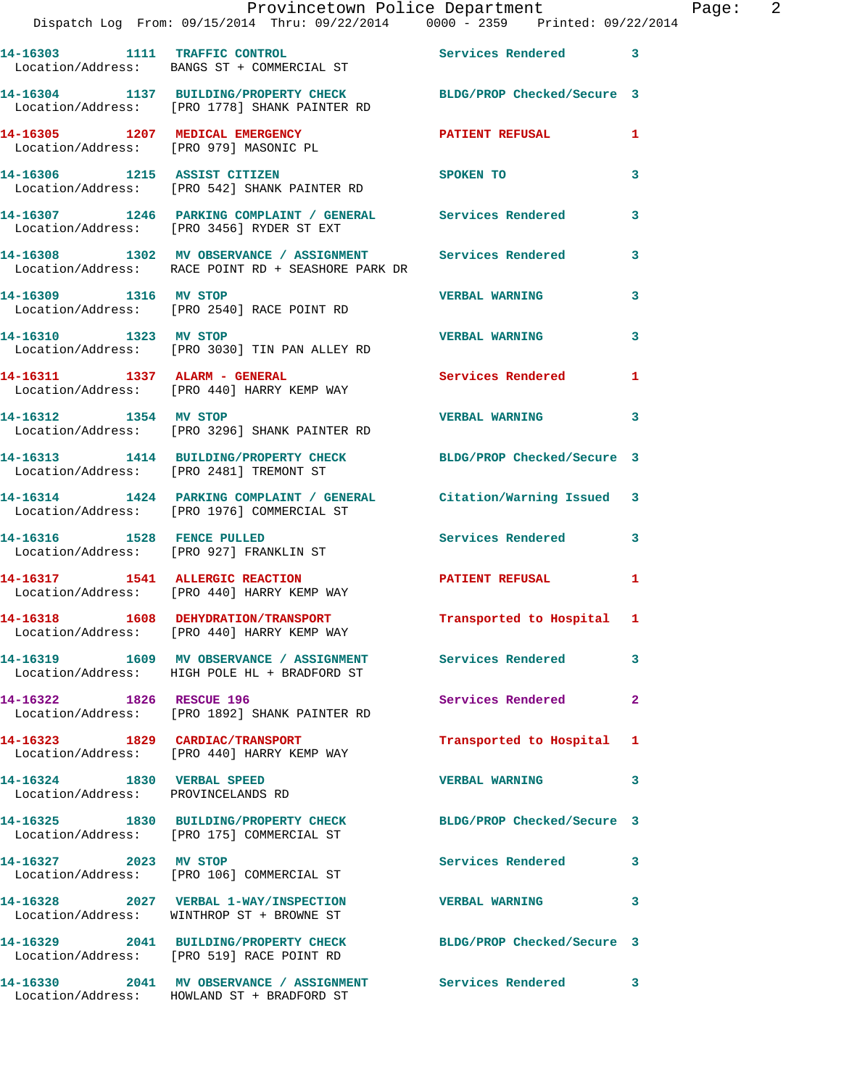|                            | Provincetown Police Department Page: 2<br>Dispatch Log From: 09/15/2014 Thru: 09/22/2014 0000 - 2359 Printed: 09/22/2014 |                           |              |
|----------------------------|--------------------------------------------------------------------------------------------------------------------------|---------------------------|--------------|
|                            | 14-16303 1111 TRAFFIC CONTROL 5ervices Rendered 3<br>Location/Address: BANGS ST + COMMERCIAL ST                          |                           |              |
|                            | 14-16304 1137 BUILDING/PROPERTY CHECK BLDG/PROP Checked/Secure 3<br>Location/Address: [PRO 1778] SHANK PAINTER RD        |                           |              |
|                            | 14-16305 1207 MEDICAL EMERGENCY DENSITIENT REFUSAL Location/Address: [PRO 979] MASONIC PL                                |                           | $\mathbf{1}$ |
|                            | 14-16306 1215 ASSIST CITIZEN SPOKEN TO<br>Location/Address: [PRO 542] SHANK PAINTER RD                                   |                           | 3            |
|                            | 14-16307 1246 PARKING COMPLAINT / GENERAL Services Rendered 3<br>Location/Address: [PRO 3456] RYDER ST EXT               |                           |              |
|                            | 14-16308 1302 MV OBSERVANCE / ASSIGNMENT Services Rendered<br>Location/Address: RACE POINT RD + SEASHORE PARK DR         |                           | 3            |
|                            | 14-16309 1316 MV STOP<br>Location/Address: [PRO 2540] RACE POINT RD                                                      | <b>VERBAL WARNING</b>     | 3            |
|                            | 14-16310 1323 MV STOP<br>Location/Address: [PRO 3030] TIN PAN ALLEY RD                                                   | <b>VERBAL WARNING</b>     | 3            |
|                            | 14-16311 1337 ALARM - GENERAL<br>Location/Address: [PRO 440] HARRY KEMP WAY                                              | Services Rendered 1       |              |
|                            | 14-16312 1354 MV STOP<br>Location/Address: [PRO 3296] SHANK PAINTER RD                                                   | <b>VERBAL WARNING</b>     | 3            |
|                            | 14-16313 1414 BUILDING/PROPERTY CHECK BLDG/PROP Checked/Secure 3<br>Location/Address: [PRO 2481] TREMONT ST              |                           |              |
|                            | 14-16314 1424 PARKING COMPLAINT / GENERAL Citation/Warning Issued 3<br>Location/Address: [PRO 1976] COMMERCIAL ST        |                           |              |
|                            | 14-16316 1528 FENCE PULLED<br>Location/Address: [PRO 927] FRANKLIN ST                                                    | Services Rendered 3       |              |
|                            | 14-16317 1541 ALLERGIC REACTION<br>Location/Address: [PRO 440] HARRY KEMP WAY                                            | PATIENT REFUSAL 1         |              |
|                            | 14-16318 1608 DEHYDRATION/TRANSPORT<br>Location/Address: [PRO 440] HARRY KEMP WAY                                        | Transported to Hospital 1 |              |
|                            | 14-16319 1609 MV OBSERVANCE / ASSIGNMENT Services Rendered<br>Location/Address: HIGH POLE HL + BRADFORD ST               |                           | 3            |
| 14-16322 1826 RESCUE 196   | Location/Address: [PRO 1892] SHANK PAINTER RD                                                                            | Services Rendered         | $\mathbf{2}$ |
|                            | 14-16323 1829 CARDIAC/TRANSPORT<br>Location/Address: [PRO 440] HARRY KEMP WAY                                            | Transported to Hospital 1 |              |
| 14-16324 1830 VERBAL SPEED | Location/Address: PROVINCELANDS RD                                                                                       | <b>VERBAL WARNING</b>     | $\mathbf{3}$ |
|                            | 14-16325 1830 BUILDING/PROPERTY CHECK BLDG/PROP Checked/Secure 3<br>Location/Address: [PRO 175] COMMERCIAL ST            |                           |              |
| 14-16327 2023 MV STOP      | Location/Address: [PRO 106] COMMERCIAL ST                                                                                | Services Rendered 3       |              |
|                            | 14-16328 2027 VERBAL 1-WAY/INSPECTION VERBAL WARNING<br>Location/Address: WINTHROP ST + BROWNE ST                        |                           | 3            |
|                            | 14-16329 2041 BUILDING/PROPERTY CHECK BLDG/PROP Checked/Secure 3<br>Location/Address: [PRO 519] RACE POINT RD            |                           |              |
|                            |                                                                                                                          |                           |              |

Location/Address: HOWLAND ST + BRADFORD ST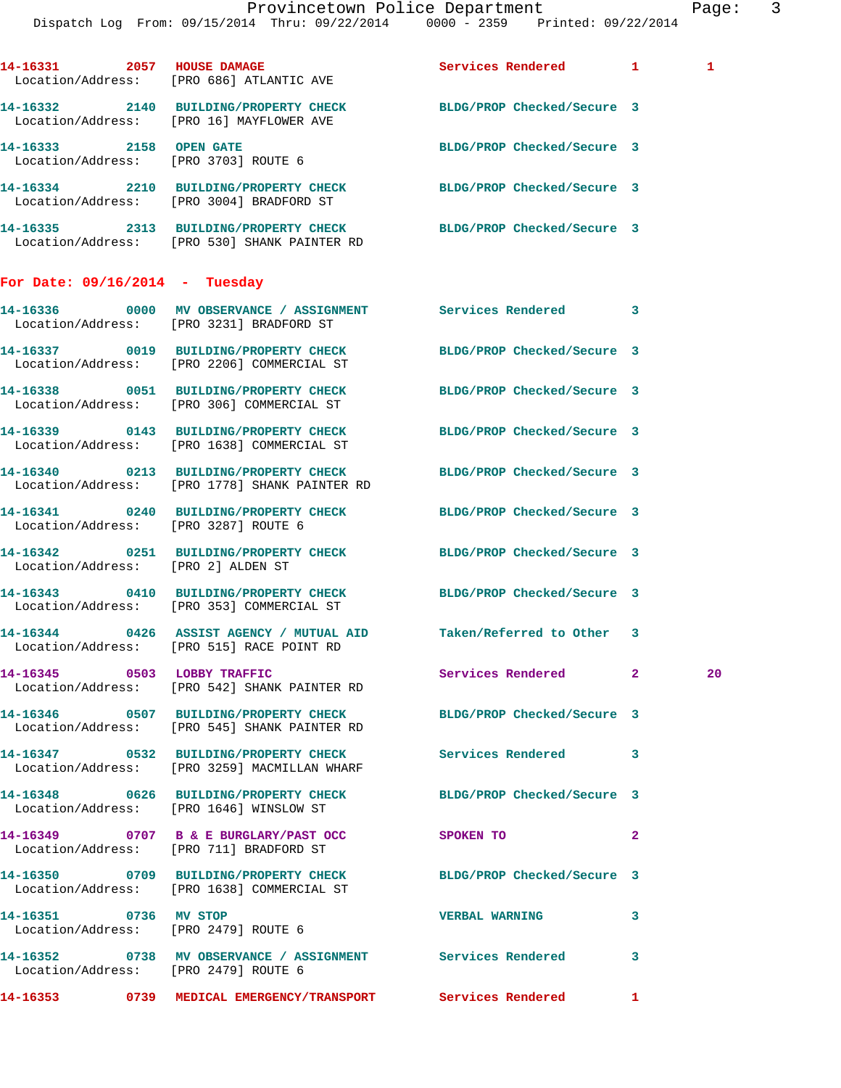Provincetown Police Department Page: 3 Dispatch Log From: 09/15/2014 Thru: 09/22/2014 0000 - 2359 Printed: 09/22/2014 14-16331 2057 HOUSE DAMAGE **Services Rendered** 1 1 Location/Address: [PRO 686] ATLANTIC AVE **14-16332 2140 BUILDING/PROPERTY CHECK BLDG/PROP Checked/Secure 3**  Location/Address: [PRO 16] MAYFLOWER AVE **14-16333 2158 OPEN GATE BLDG/PROP Checked/Secure 3**  Location/Address: [PRO 3703] ROUTE 6 **14-16334 2210 BUILDING/PROPERTY CHECK BLDG/PROP Checked/Secure 3**  Location/Address: [PRO 3004] BRADFORD ST **14-16335 2313 BUILDING/PROPERTY CHECK BLDG/PROP Checked/Secure 3**  Location/Address: [PRO 530] SHANK PAINTER RD **For Date: 09/16/2014 - Tuesday 14-16336 0000 MV OBSERVANCE / ASSIGNMENT Services Rendered 3**  Location/Address: [PRO 3231] BRADFORD ST **14-16337 0019 BUILDING/PROPERTY CHECK BLDG/PROP Checked/Secure 3**  Location/Address: [PRO 2206] COMMERCIAL ST **14-16338 0051 BUILDING/PROPERTY CHECK BLDG/PROP Checked/Secure 3**  Location/Address: [PRO 306] COMMERCIAL ST **14-16339 0143 BUILDING/PROPERTY CHECK BLDG/PROP Checked/Secure 3**  Location/Address: [PRO 1638] COMMERCIAL ST **14-16340 0213 BUILDING/PROPERTY CHECK BLDG/PROP Checked/Secure 3**  Location/Address: [PRO 1778] SHANK PAINTER RD **14-16341 0240 BUILDING/PROPERTY CHECK BLDG/PROP Checked/Secure 3**  Location/Address: [PRO 3287] ROUTE 6 **14-16342 0251 BUILDING/PROPERTY CHECK BLDG/PROP Checked/Secure 3**  Location/Address: [PRO 2] ALDEN ST **14-16343 0410 BUILDING/PROPERTY CHECK BLDG/PROP Checked/Secure 3**  Location/Address: [PRO 353] COMMERCIAL ST **14-16344 0426 ASSIST AGENCY / MUTUAL AID Taken/Referred to Other 3**  Location/Address: [PRO 515] RACE POINT RD **14-16345 0503 LOBBY TRAFFIC Services Rendered 2 20**  Location/Address: [PRO 542] SHANK PAINTER RD **14-16346 0507 BUILDING/PROPERTY CHECK BLDG/PROP Checked/Secure 3**  Location/Address: [PRO 545] SHANK PAINTER RD **14-16347 0532 BUILDING/PROPERTY CHECK Services Rendered 3**  Location/Address: [PRO 3259] MACMILLAN WHARF **14-16348 0626 BUILDING/PROPERTY CHECK BLDG/PROP Checked/Secure 3**  Location/Address: [PRO 1646] WINSLOW ST **14-16349 0707 B & E BURGLARY/PAST OCC SPOKEN TO 2**  Location/Address: [PRO 711] BRADFORD ST **14-16350 0709 BUILDING/PROPERTY CHECK BLDG/PROP Checked/Secure 3**  Location/Address: [PRO 1638] COMMERCIAL ST

Location/Address: [PRO 2479] ROUTE 6

**14-16352 0738 MV OBSERVANCE / ASSIGNMENT Services Rendered 3**  Location/Address: [PRO 2479] ROUTE 6

- **14-16351 0736 MV STOP VERBAL WARNING 3** 
	-
	-
- **14-16353 0739 MEDICAL EMERGENCY/TRANSPORT Services Rendered 1**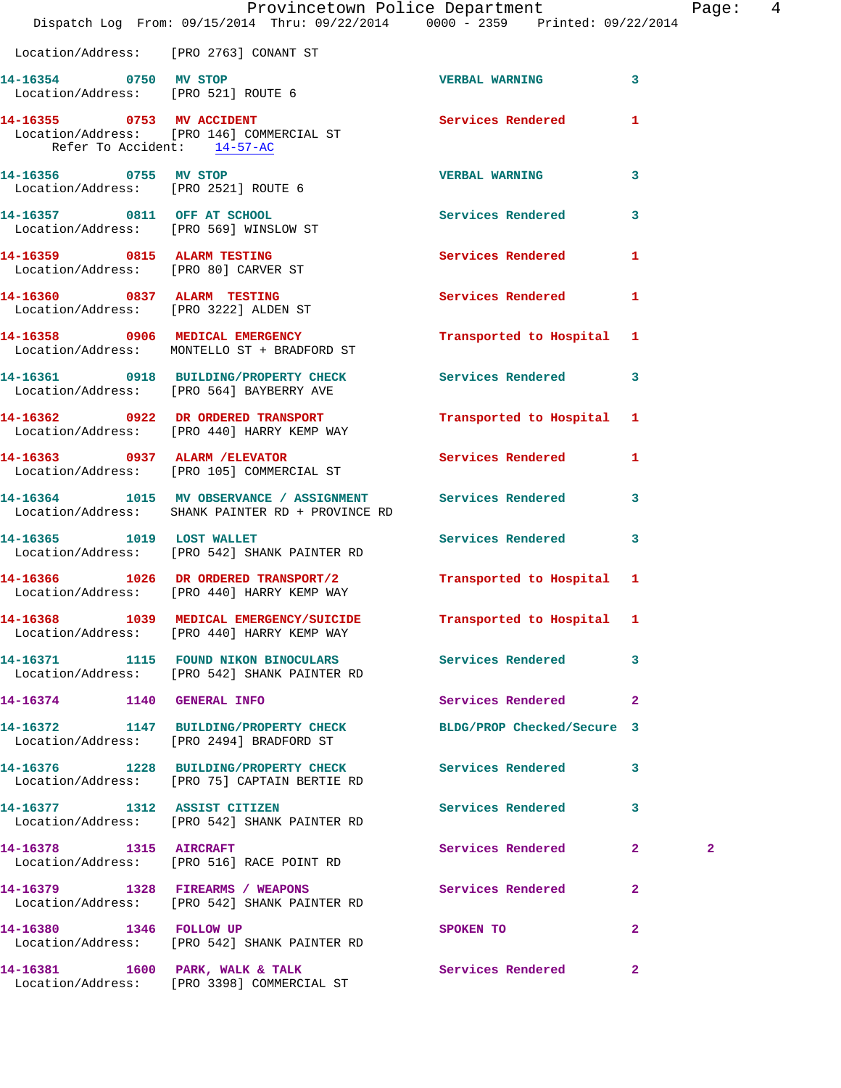|                                        | Provincetown Police Department The Rage: 4<br>Dispatch Log From: 09/15/2014 Thru: 09/22/2014 0000 - 2359 Printed: 09/22/2014 |                           |                         |                |  |
|----------------------------------------|------------------------------------------------------------------------------------------------------------------------------|---------------------------|-------------------------|----------------|--|
| Location/Address: [PRO 2763] CONANT ST |                                                                                                                              |                           |                         |                |  |
|                                        |                                                                                                                              | <b>VERBAL WARNING 3</b>   |                         |                |  |
| Refer To Accident: 14-57-AC            | 14-16355 0753 MV ACCIDENT<br>Location/Address: [PRO 146] COMMERCIAL ST                                                       | Services Rendered 1       |                         |                |  |
| 14-16356 0755 MV STOP                  | Location/Address: [PRO 2521] ROUTE 6                                                                                         | <b>VERBAL WARNING</b>     | $\overline{\mathbf{3}}$ |                |  |
|                                        | 14-16357 0811 OFF AT SCHOOL<br>Location/Address: [PRO 569] WINSLOW ST                                                        | Services Rendered 3       |                         |                |  |
| 14-16359 0815 ALARM TESTING            | Location/Address: [PRO 80] CARVER ST                                                                                         | Services Rendered 1       |                         |                |  |
|                                        | 14-16360 0837 ALARM TESTING<br>Location/Address: [PRO 3222] ALDEN ST                                                         | Services Rendered 1       |                         |                |  |
|                                        | 14-16358 0906 MEDICAL EMERGENCY<br>Location/Address: MONTELLO ST + BRADFORD ST                                               | Transported to Hospital 1 |                         |                |  |
|                                        | 14-16361 0918 BUILDING/PROPERTY CHECK Services Rendered 3<br>Location/Address: [PRO 564] BAYBERRY AVE                        |                           |                         |                |  |
|                                        | 14-16362 0922 DR ORDERED TRANSPORT<br>Location/Address: [PRO 440] HARRY KEMP WAY                                             | Transported to Hospital 1 |                         |                |  |
|                                        | 14-16363 0937 ALARM / ELEVATOR<br>Location/Address: [PRO 105] COMMERCIAL ST                                                  | Services Rendered 1       |                         |                |  |
|                                        | 14-16364 1015 MV OBSERVANCE / ASSIGNMENT Services Rendered 3<br>Location/Address: SHANK PAINTER RD + PROVINCE RD             |                           |                         |                |  |
|                                        | 14-16365 1019 LOST WALLET<br>Location/Address: [PRO 542] SHANK PAINTER RD                                                    | Services Rendered 3       |                         |                |  |
|                                        | 14-16366 1026 DR ORDERED TRANSPORT/2 Transported to Hospital 1<br>Location/Address: [PRO 440] HARRY KEMP WAY                 |                           |                         |                |  |
|                                        | 14-16368 1039 MEDICAL EMERGENCY/SUICIDE<br>Location/Address: [PRO 440] HARRY KEMP WAY                                        | Transported to Hospital 1 |                         |                |  |
|                                        | 14-16371 1115 FOUND NIKON BINOCULARS<br>Location/Address: [PRO 542] SHANK PAINTER RD                                         | Services Rendered 3       |                         |                |  |
| 14-16374 1140 GENERAL INFO             |                                                                                                                              | Services Rendered 2       |                         |                |  |
|                                        | 14-16372 1147 BUILDING/PROPERTY CHECK BLDG/PROP Checked/Secure 3<br>Location/Address: [PRO 2494] BRADFORD ST                 |                           |                         |                |  |
|                                        | 14-16376 1228 BUILDING/PROPERTY CHECK Services Rendered<br>Location/Address: [PRO 75] CAPTAIN BERTIE RD                      |                           | 3                       |                |  |
| 14-16377 1312 ASSIST CITIZEN           | Location/Address: [PRO 542] SHANK PAINTER RD                                                                                 | Services Rendered 3       |                         |                |  |
|                                        | 14-16378    1315    AIRCRAFT<br>Location/Address: [PRO 516] RACE POINT RD                                                    | Services Rendered         | $\mathbf{2}$            | $\overline{a}$ |  |
|                                        | 14-16379 1328 FIREARMS / WEAPONS<br>Location/Address: [PRO 542] SHANK PAINTER RD                                             | Services Rendered 2       |                         |                |  |
|                                        | 14-16380 1346 FOLLOW UP<br>Location/Address: [PRO 542] SHANK PAINTER RD                                                      | SPOKEN TO                 | $\mathbf{2}$            |                |  |
|                                        | 14-16381 1600 PARK, WALK & TALK<br>Location/Address: [PRO 3398] COMMERCIAL ST                                                | Services Rendered 2       |                         |                |  |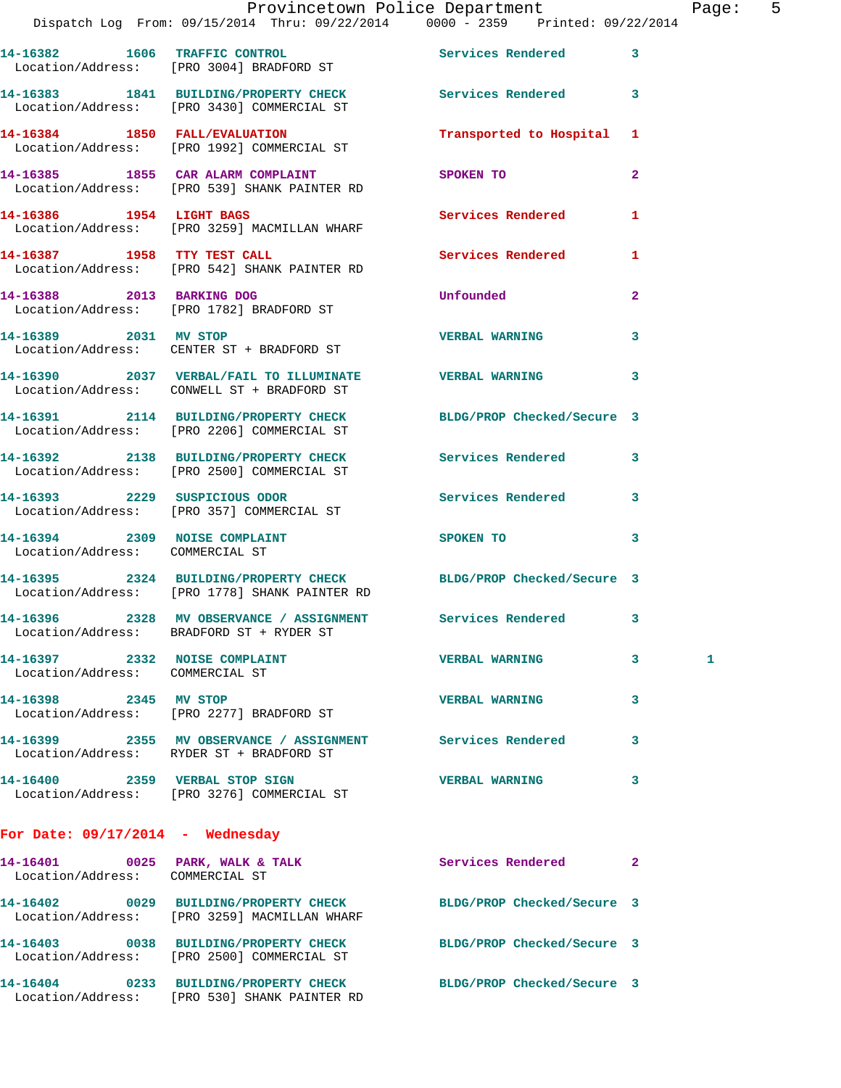|                                    | Provincetown Police Department Page: 5<br>Dispatch Log From: 09/15/2014 Thru: 09/22/2014 0000 - 2359 Printed: 09/22/2014 |                             |                |  |
|------------------------------------|--------------------------------------------------------------------------------------------------------------------------|-----------------------------|----------------|--|
|                                    | 14-16382 1606 TRAFFIC CONTROL 5 Services Rendered 3<br>Location/Address: [PRO 3004] BRADFORD ST                          |                             |                |  |
|                                    | 14-16383 1841 BUILDING/PROPERTY CHECK Services Rendered 3<br>Location/Address: [PRO 3430] COMMERCIAL ST                  |                             |                |  |
|                                    | 14-16384 1850 FALL/EVALUATION<br>Location/Address: [PRO 1992] COMMERCIAL ST                                              | Transported to Hospital 1   |                |  |
|                                    | 14-16385 1855 CAR ALARM COMPLAINT<br>Location/Address: [PRO 539] SHANK PAINTER RD                                        | SPOKEN TO                   | $\overline{2}$ |  |
|                                    | 14-16386 1954 LIGHT BAGS<br>Location/Address: [PRO 3259] MACMILLAN WHARF                                                 | Services Rendered           | 1              |  |
|                                    | 14-16387 1958 TTY TEST CALL<br>Location/Address: [PRO 542] SHANK PAINTER RD                                              | Services Rendered           | $\mathbf{1}$   |  |
|                                    | 14-16388 2013 BARKING DOG<br>Location/Address: [PRO 1782] BRADFORD ST                                                    | <b>Unfounded</b>            | $\mathbf{2}$   |  |
| 14-16389 2031 MV STOP              | Location/Address: CENTER ST + BRADFORD ST                                                                                | <b>VERBAL WARNING</b>       | $\mathbf{3}$   |  |
|                                    | 14-16390 2037 VERBAL/FAIL TO ILLUMINATE VERBAL WARNING 3<br>Location/Address: CONWELL ST + BRADFORD ST                   |                             |                |  |
|                                    | 14-16391 2114 BUILDING/PROPERTY CHECK BLDG/PROP Checked/Secure 3<br>Location/Address: [PRO 2206] COMMERCIAL ST           |                             |                |  |
|                                    | 14-16392 2138 BUILDING/PROPERTY CHECK Services Rendered 3<br>Location/Address: [PRO 2500] COMMERCIAL ST                  |                             |                |  |
|                                    | 14-16393 2229 SUSPICIOUS ODOR<br>Location/Address: [PRO 357] COMMERCIAL ST                                               | Services Rendered 3         |                |  |
| Location/Address: COMMERCIAL ST    | 14-16394 2309 NOISE COMPLAINT                                                                                            | SPOKEN TO 3                 |                |  |
|                                    | 14-16395 2324 BUILDING/PROPERTY CHECK BLDG/PROP Checked/Secure 3<br>Location/Address: [PRO 1778] SHANK PAINTER RD        |                             |                |  |
|                                    | 14-16396 2328 MV OBSERVANCE / ASSIGNMENT<br>Location/Address: BRADFORD ST + RYDER ST                                     | Services Rendered           | 3              |  |
| Location/Address: COMMERCIAL ST    | 14-16397 2332 NOISE COMPLAINT                                                                                            | <b>VERBAL WARNING 3</b>     | 1              |  |
|                                    | 14-16398 2345 MV STOP<br>Location/Address: [PRO 2277] BRADFORD ST                                                        | <b>VERBAL WARNING</b>       | 3              |  |
|                                    | 14-16399 2355 MV OBSERVANCE / ASSIGNMENT Services Rendered 3<br>Location/Address: RYDER ST + BRADFORD ST                 |                             |                |  |
|                                    | 14-16400 2359 VERBAL STOP SIGN<br>Location/Address: [PRO 3276] COMMERCIAL ST                                             | <b>VERBAL WARNING</b>       | 3              |  |
| For Date: $09/17/2014$ - Wednesday |                                                                                                                          |                             |                |  |
| Location/Address: COMMERCIAL ST    | 14-16401 0025 PARK, WALK & TALK                                                                                          | <b>Services Rendered 22</b> |                |  |
|                                    | 14-16402 0029 BUILDING/PROPERTY CHECK BLDG/PROP Checked/Secure 3<br>Location/Address: [PRO 3259] MACMILLAN WHARF         |                             |                |  |
|                                    | 14-16403 0038 BUILDING/PROPERTY CHECK BLDG/PROP Checked/Secure 3<br>Location/Address: [PRO 2500] COMMERCIAL ST           |                             |                |  |
|                                    | 14-16404 0233 BUILDING/PROPERTY CHECK BLDG/PROP Checked/Secure 3                                                         |                             |                |  |

Location/Address: [PRO 530] SHANK PAINTER RD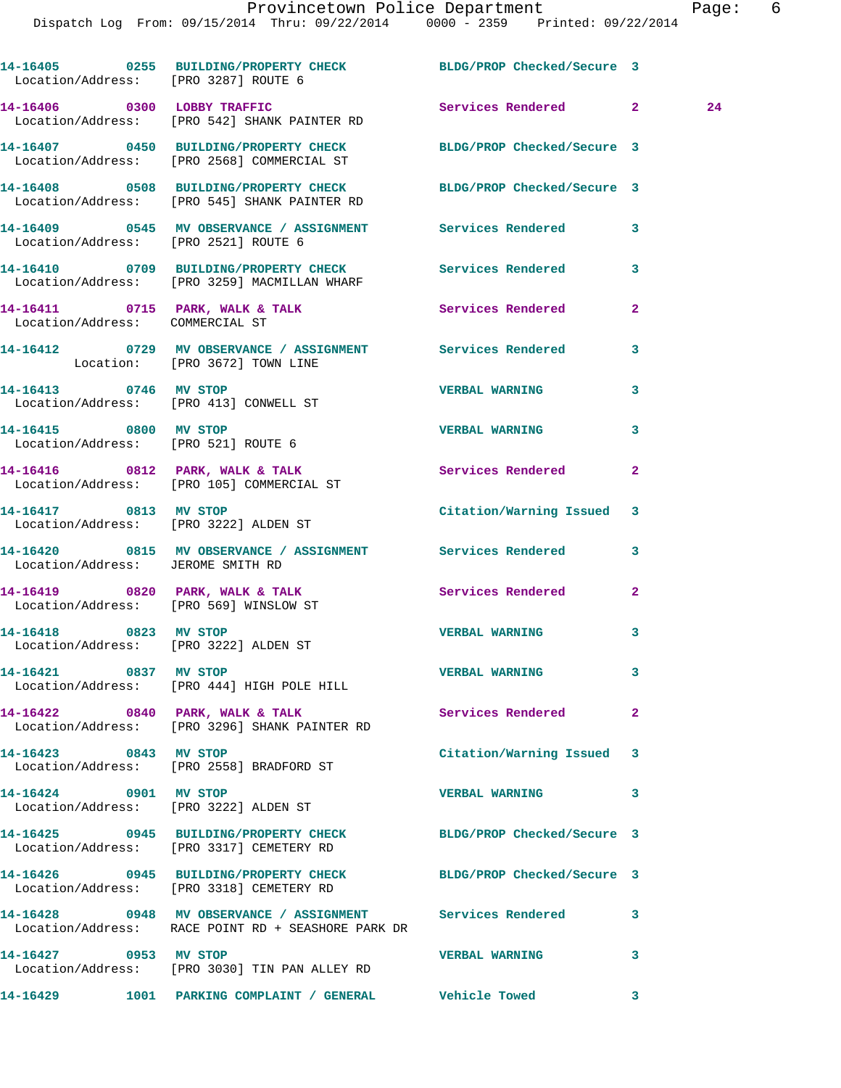Dispatch Log From: 09/15/2014 Thru: 09/22/2014 0000 - 2359 Printed: 09/22/2014

**14-16405 0255 BUILDING/PROPERTY CHECK BLDG/PROP Checked/Secure 3**  Location/Address: [PRO 3287] ROUTE 6 **14-16406 0300 LOBBY TRAFFIC Services Rendered 2 24**  Location/Address: [PRO 542] SHANK PAINTER RD **14-16407 0450 BUILDING/PROPERTY CHECK BLDG/PROP Checked/Secure 3**  Location/Address: [PRO 2568] COMMERCIAL ST **14-16408 0508 BUILDING/PROPERTY CHECK BLDG/PROP Checked/Secure 3**  Location/Address: [PRO 545] SHANK PAINTER RD **14-16409 0545 MV OBSERVANCE / ASSIGNMENT Services Rendered 3**  Location/Address: [PRO 2521] ROUTE 6 **14-16410 0709 BUILDING/PROPERTY CHECK Services Rendered 3**  Location/Address: [PRO 3259] MACMILLAN WHARF **14-16411 0715 PARK, WALK & TALK Services Rendered 2**  Location/Address: COMMERCIAL ST **14-16412 0729 MV OBSERVANCE / ASSIGNMENT Services Rendered 3**  Location: [PRO 3672] TOWN LINE **14-16413 0746 MV STOP VERBAL WARNING 3**  Location/Address: [PRO 413] CONWELL ST **14-16415 0800 MV STOP VERBAL WARNING 3**  Location/Address: [PRO 521] ROUTE 6 **14-16416 0812 PARK, WALK & TALK Services Rendered 2**  Location/Address: [PRO 105] COMMERCIAL ST **14-16417 0813 MV STOP Citation/Warning Issued 3**  Location/Address: [PRO 3222] ALDEN ST **14-16420 0815 MV OBSERVANCE / ASSIGNMENT Services Rendered 3**  Location/Address: JEROME SMITH RD **14-16419 0820 PARK, WALK & TALK Services Rendered 2**  Location/Address: [PRO 569] WINSLOW ST **14-16418 0823 MV STOP VERBAL WARNING 3**  Location/Address: [PRO 3222] ALDEN ST **14-16421 0837 MV STOP VERBAL WARNING 3**  Location/Address: [PRO 444] HIGH POLE HILL 14-16422 0840 PARK, WALK & TALK **Services Rendered** 2 Location/Address: [PRO 3296] SHANK PAINTER RD **14-16423 0843 MV STOP Citation/Warning Issued 3**  Location/Address: [PRO 2558] BRADFORD ST **14-16424 0901 MV STOP VERBAL WARNING 3**  Location/Address: [PRO 3222] ALDEN ST **14-16425 0945 BUILDING/PROPERTY CHECK BLDG/PROP Checked/Secure 3**  Location/Address: [PRO 3317] CEMETERY RD **14-16426 0945 BUILDING/PROPERTY CHECK BLDG/PROP Checked/Secure 3**  Location/Address: [PRO 3318] CEMETERY RD **14-16428 0948 MV OBSERVANCE / ASSIGNMENT Services Rendered 3**  Location/Address: RACE POINT RD + SEASHORE PARK DR **14-16427 0953 MV STOP VERBAL WARNING 3**  Location/Address: [PRO 3030] TIN PAN ALLEY RD **14-16429 1001 PARKING COMPLAINT / GENERAL Vehicle Towed 3**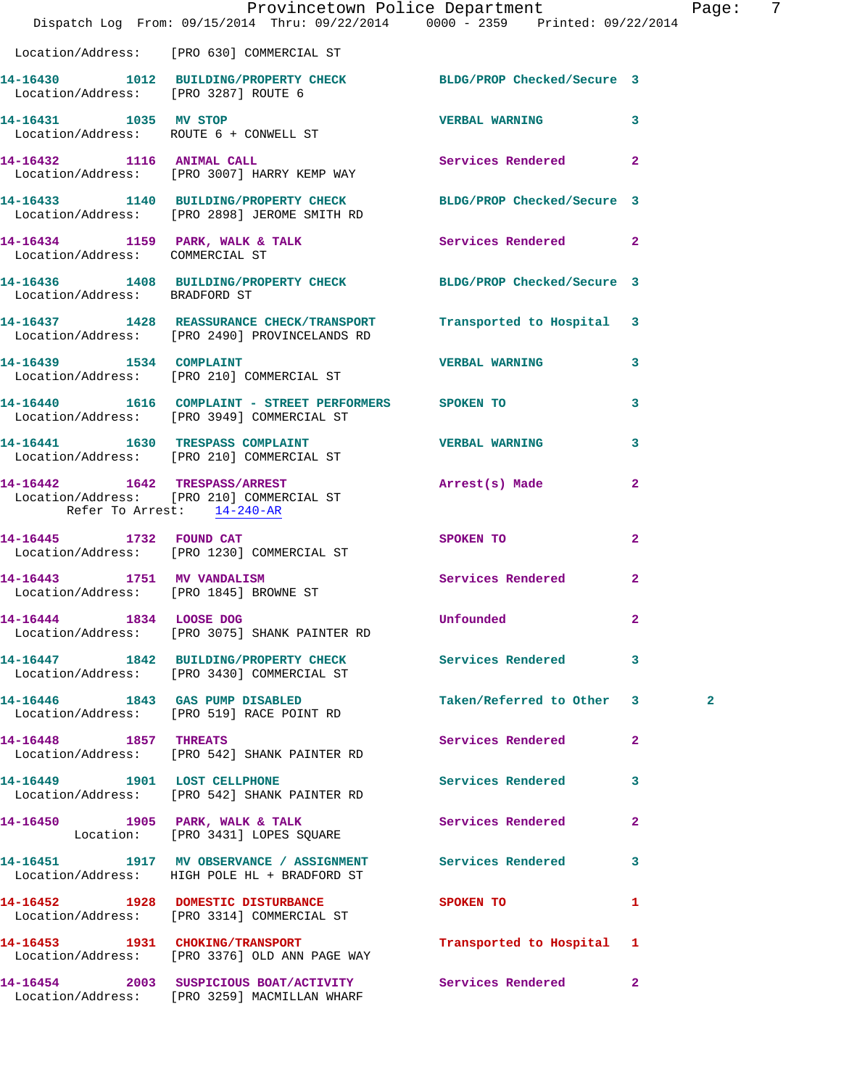|                                 | Provincetown Police Department<br>Dispatch Log From: 09/15/2014 Thru: 09/22/2014 0000 - 2359 Printed: 09/22/2014   |                           |                | Pag          |
|---------------------------------|--------------------------------------------------------------------------------------------------------------------|---------------------------|----------------|--------------|
|                                 | Location/Address: [PRO 630] COMMERCIAL ST                                                                          |                           |                |              |
|                                 | 14-16430   1012   BUILDING/PROPERTY CHECK   BLDG/PROP Checked/Secure   3<br>Location/Address: [PRO 3287] ROUTE   6 |                           |                |              |
|                                 | 14-16431 1035 MV STOP<br>Location/Address: ROUTE 6 + CONWELL ST                                                    | <b>VERBAL WARNING</b>     | 3              |              |
| 14-16432 1116 ANIMAL CALL       | Location/Address: [PRO 3007] HARRY KEMP WAY                                                                        | Services Rendered         | $\overline{a}$ |              |
|                                 | 14-16433 1140 BUILDING/PROPERTY CHECK BLDG/PROP Checked/Secure 3<br>Location/Address: [PRO 2898] JEROME SMITH RD   |                           |                |              |
| Location/Address: COMMERCIAL ST | 14-16434 1159 PARK, WALK & TALK 1988 Services Rendered 2                                                           |                           |                |              |
| Location/Address: BRADFORD ST   | 14-16436 1408 BUILDING/PROPERTY CHECK BLDG/PROP Checked/Secure 3                                                   |                           |                |              |
|                                 | 14-16437 1428 REASSURANCE CHECK/TRANSPORT<br>Location/Address: [PRO 2490] PROVINCELANDS RD                         | Transported to Hospital 3 |                |              |
|                                 | 14-16439    1534    COMPLAINT<br>Location/Address: [PRO 210] COMMERCIAL ST                                         | <b>VERBAL WARNING</b>     | 3              |              |
|                                 | 14-16440 1616 COMPLAINT - STREET PERFORMERS SPOKEN TO<br>Location/Address: [PRO 3949] COMMERCIAL ST                |                           | 3              |              |
|                                 | 14-16441 1630 TRESPASS COMPLAINT<br>Location/Address: [PRO 210] COMMERCIAL ST                                      | <b>VERBAL WARNING</b>     | 3              |              |
| Refer To Arrest: 14-240-AR      | 14-16442 1642 TRESPASS/ARREST<br>Location/Address: [PRO 210] COMMERCIAL ST                                         | Arrest(s) Made            | $\mathbf{2}$   |              |
|                                 | 14-16445 1732 FOUND CAT<br>Location/Address: [PRO 1230] COMMERCIAL ST                                              | SPOKEN TO                 | $\mathbf{2}$   |              |
|                                 | 14-16443 1751 MV VANDALISM<br>Location/Address: [PRO 1845] BROWNE ST                                               | Services Rendered         | $\overline{2}$ |              |
| 14-16444 1834 LOOSE DOG         | Location/Address: [PRO 3075] SHANK PAINTER RD                                                                      | Unfounded                 | 2              |              |
|                                 | 14-16447 1842 BUILDING/PROPERTY CHECK Services Rendered<br>Location/Address: [PRO 3430] COMMERCIAL ST              |                           | 3              |              |
|                                 | 14-16446 1843 GAS PUMP DISABLED<br>Location/Address: [PRO 519] RACE POINT RD                                       | Taken/Referred to Other   | $\mathbf{3}$   | $\mathbf{2}$ |
| 14-16448 1857 THREATS           | Location/Address: [PRO 542] SHANK PAINTER RD                                                                       | Services Rendered         | $\mathbf{2}$   |              |
|                                 | 14-16449 1901 LOST CELLPHONE<br>Location/Address: [PRO 542] SHANK PAINTER RD                                       | Services Rendered         | 3              |              |
|                                 | 14-16450 1905 PARK, WALK & TALK<br>Location: [PRO 3431] LOPES SQUARE                                               | Services Rendered         | 2              |              |
|                                 | 14-16451 1917 MV OBSERVANCE / ASSIGNMENT Services Rendered<br>Location/Address: HIGH POLE HL + BRADFORD ST         |                           | 3              |              |
|                                 | 14-16452 1928 DOMESTIC DISTURBANCE<br>Location/Address: [PRO 3314] COMMERCIAL ST                                   | SPOKEN TO                 | 1              |              |
|                                 | 14-16453 1931 CHOKING/TRANSPORT<br>Location/Address: [PRO 3376] OLD ANN PAGE WAY                                   | Transported to Hospital 1 |                |              |
|                                 | 14-16454 2003 SUSPICIOUS BOAT/ACTIVITY<br>Location/Address: [PRO 3259] MACMILLAN WHARF                             | Services Rendered         | $\mathbf{2}$   |              |

Page: 7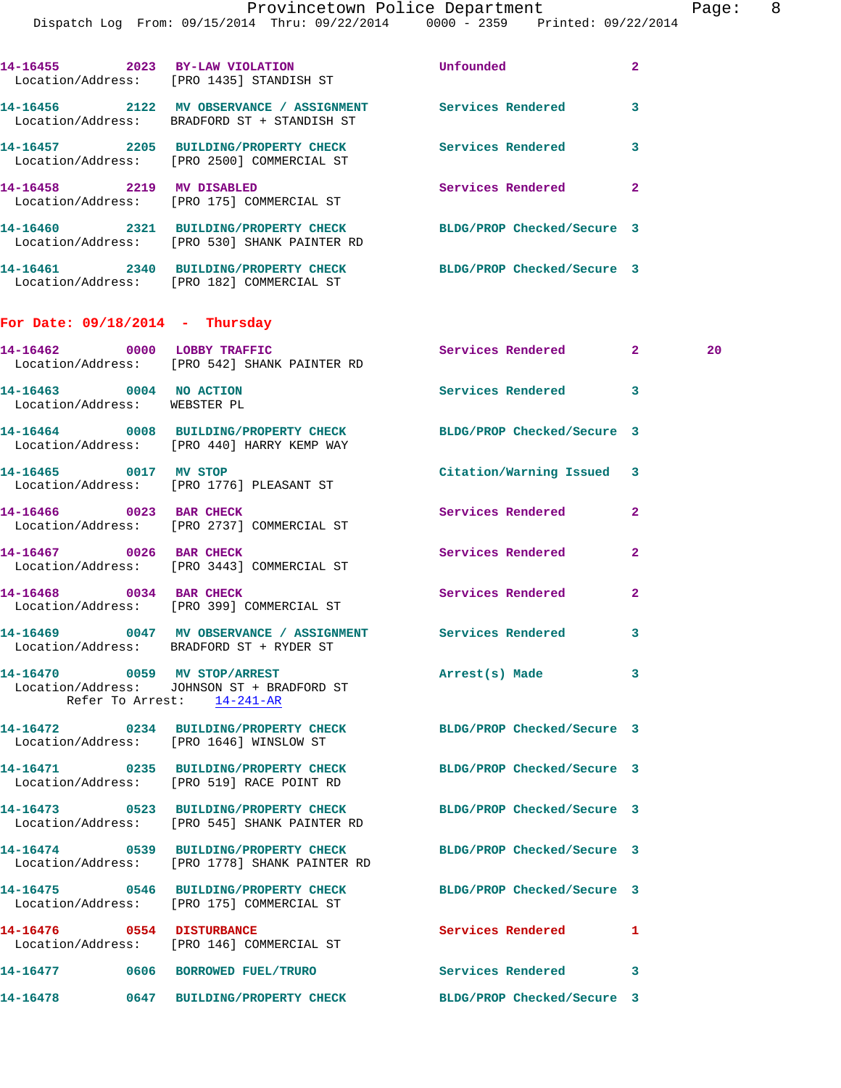Dispatch Log From: 09/15/2014 Thru: 09/22/2014 0000 - 2359 Printed: 09/22/2014

| 14-16455<br>2023                      | <b>BY-LAW VIOLATION</b><br>Location/Address: [PRO 1435] STANDISH ST | Unfounded                  | 2 |
|---------------------------------------|---------------------------------------------------------------------|----------------------------|---|
| 14-16456<br>2122<br>Location/Address: | MV OBSERVANCE / ASSIGNMENT<br>BRADFORD ST + STANDISH ST             | Services Rendered          | 3 |
| 2205<br>14-16457<br>Location/Address: | <b>BUILDING/PROPERTY CHECK</b><br>[PRO 2500] COMMERCIAL ST          | Services Rendered          | 3 |
| 14-16458<br>2219                      | <b>MV DISABLED</b><br>Location/Address: [PRO 175] COMMERCIAL ST     | Services Rendered          | 2 |
| 2321<br>14-16460<br>Location/Address: | <b>BUILDING/PROPERTY CHECK</b><br>[PRO 530] SHANK PAINTER RD        | BLDG/PROP Checked/Secure 3 |   |
| 14-16461<br>2340                      | <b>BUILDING/PROPERTY CHECK</b>                                      | BLDG/PROP Checked/Secure 3 |   |

## **For Date: 09/18/2014 - Thursday**

Location/Address: [PRO 182] COMMERCIAL ST

|                                                         | 14-16462 0000 LOBBY TRAFFIC<br>Location/Address: [PRO 542] SHANK PAINTER RD                              | Services Rendered          | 2 <sup>1</sup> | 20 |
|---------------------------------------------------------|----------------------------------------------------------------------------------------------------------|----------------------------|----------------|----|
| 14-16463 0004 NO ACTION<br>Location/Address: WEBSTER PL |                                                                                                          | Services Rendered 3        |                |    |
|                                                         | 14-16464 0008 BUILDING/PROPERTY CHECK<br>Location/Address: [PRO 440] HARRY KEMP WAY                      | BLDG/PROP Checked/Secure 3 |                |    |
| 14-16465 0017 MV STOP                                   | Location/Address: [PRO 1776] PLEASANT ST                                                                 | Citation/Warning Issued    | 3              |    |
| 14-16466 0023 BAR CHECK                                 | Location/Address: [PRO 2737] COMMERCIAL ST                                                               | Services Rendered          | $\mathbf{2}$   |    |
| 14-16467 0026 BAR CHECK                                 | Location/Address: [PRO 3443] COMMERCIAL ST                                                               | <b>Services Rendered</b>   | $\overline{a}$ |    |
| 14-16468 0034 BAR CHECK                                 | Location/Address: [PRO 399] COMMERCIAL ST                                                                | Services Rendered          | $\overline{a}$ |    |
|                                                         | 14-16469 0047 MV OBSERVANCE / ASSIGNMENT Services Rendered<br>Location/Address: BRADFORD ST + RYDER ST   |                            | 3              |    |
|                                                         | 14-16470 0059 MV STOP/ARREST<br>Location/Address: JOHNSON ST + BRADFORD ST<br>Refer To Arrest: 14-241-AR | Arrest(s) Made             | 3              |    |
|                                                         | 14-16472 0234 BUILDING/PROPERTY CHECK<br>Location/Address: [PRO 1646] WINSLOW ST                         | BLDG/PROP Checked/Secure 3 |                |    |
|                                                         | 14-16471 0235 BUILDING/PROPERTY CHECK<br>Location/Address: [PRO 519] RACE POINT RD                       | BLDG/PROP Checked/Secure 3 |                |    |
|                                                         | 14-16473 0523 BUILDING/PROPERTY CHECK<br>Location/Address: [PRO 545] SHANK PAINTER RD                    | BLDG/PROP Checked/Secure 3 |                |    |
|                                                         | 14-16474 0539 BUILDING/PROPERTY CHECK<br>Location/Address: [PRO 1778] SHANK PAINTER RD                   | BLDG/PROP Checked/Secure 3 |                |    |
|                                                         | 14-16475 0546 BUILDING/PROPERTY CHECK<br>Location/Address: [PRO 175] COMMERCIAL ST                       | BLDG/PROP Checked/Secure 3 |                |    |
|                                                         | 14-16476 0554 DISTURBANCE<br>Location/Address: [PRO 146] COMMERCIAL ST                                   | <b>Services Rendered</b>   | $\mathbf{1}$   |    |
|                                                         | 14-16477 0606 BORROWED FUEL/TRURO                                                                        | Services Rendered          | 3              |    |
|                                                         | 14-16478 0647 BUILDING/PROPERTY CHECK BLDG/PROP Checked/Secure 3                                         |                            |                |    |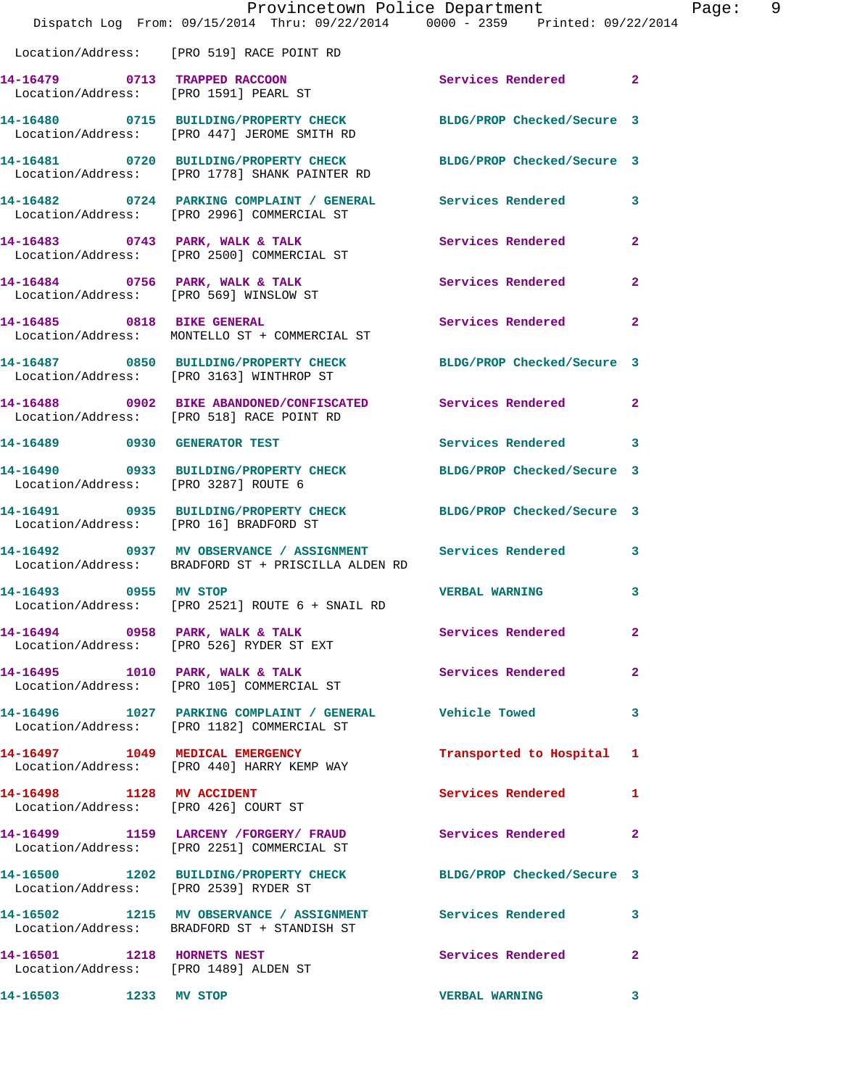|                                        | Dispatch Log From: 09/15/2014 Thru: 09/22/2014 0000 - 2359 Printed: 09/22/2014                                     | Provincetown Police Department | Page: 9      |
|----------------------------------------|--------------------------------------------------------------------------------------------------------------------|--------------------------------|--------------|
|                                        | Location/Address: [PRO 519] RACE POINT RD                                                                          |                                |              |
|                                        | 14-16479 0713 TRAPPED RACCOON<br>Location/Address: [PRO 1591] PEARL ST                                             | Services Rendered 2            |              |
|                                        | 14-16480 0715 BUILDING/PROPERTY CHECK BLDG/PROP Checked/Secure 3<br>Location/Address: [PRO 447] JEROME SMITH RD    |                                |              |
|                                        | 14-16481 0720 BUILDING/PROPERTY CHECK BLDG/PROP Checked/Secure 3<br>Location/Address: [PRO 1778] SHANK PAINTER RD  |                                |              |
|                                        | 14-16482 0724 PARKING COMPLAINT / GENERAL Services Rendered 3<br>Location/Address: [PRO 2996] COMMERCIAL ST        |                                |              |
|                                        | 14-16483 0743 PARK, WALK & TALK 3 Services Rendered 2<br>Location/Address: [PRO 2500] COMMERCIAL ST                |                                |              |
|                                        | 14-16484 0756 PARK, WALK & TALK<br>Location/Address: [PRO 569] WINSLOW ST                                          | Services Rendered 2            |              |
|                                        | 14-16485 0818 BIKE GENERAL<br>Location/Address: MONTELLO ST + COMMERCIAL ST                                        | Services Rendered              | $\mathbf{2}$ |
|                                        | 14-16487 0850 BUILDING/PROPERTY CHECK BLDG/PROP Checked/Secure 3<br>Location/Address: [PRO 3163] WINTHROP ST       |                                |              |
|                                        | 14-16488 0902 BIKE ABANDONED/CONFISCATED Services Rendered<br>Location/Address: [PRO 518] RACE POINT RD            |                                | $\mathbf{2}$ |
|                                        | 14-16489 0930 GENERATOR TEST                                                                                       | Services Rendered 3            |              |
| Location/Address: [PRO 3287] ROUTE 6   | 14-16490 0933 BUILDING/PROPERTY CHECK BLDG/PROP Checked/Secure 3                                                   |                                |              |
| Location/Address: [PRO 16] BRADFORD ST | 14-16491 0935 BUILDING/PROPERTY CHECK BLDG/PROP Checked/Secure 3                                                   |                                |              |
|                                        | 14-16492 0937 MV OBSERVANCE / ASSIGNMENT Services Rendered 3<br>Location/Address: BRADFORD ST + PRISCILLA ALDEN RD |                                |              |
|                                        | 14-16493 0955 MV STOP<br>Location/Address: [PRO 2521] ROUTE 6 + SNAIL RD                                           | <b>VERBAL WARNING</b>          | 3            |
|                                        | 14-16494 0958 PARK, WALK & TALK 6 Services Rendered 2<br>Location/Address: [PRO 526] RYDER ST EXT                  |                                |              |
|                                        | 14-16495 1010 PARK, WALK & TALK<br>Location/Address: [PRO 105] COMMERCIAL ST                                       | Services Rendered 2            |              |
|                                        | 14-16496 1027 PARKING COMPLAINT / GENERAL Vehicle Towed 3<br>Location/Address: [PRO 1182] COMMERCIAL ST            |                                |              |
|                                        | 14-16497 1049 MEDICAL EMERGENCY<br>Location/Address: [PRO 440] HARRY KEMP WAY                                      | Transported to Hospital 1      |              |
| 14-16498 1128 MV ACCIDENT              | Location/Address: [PRO 426] COURT ST                                                                               | Services Rendered              | -1           |
|                                        | 14-16499 1159 LARCENY / FORGERY / FRAUD Services Rendered 2<br>Location/Address: [PRO 2251] COMMERCIAL ST          |                                |              |
|                                        | 14-16500 1202 BUILDING/PROPERTY CHECK BLDG/PROP Checked/Secure 3<br>Location/Address: [PRO 2539] RYDER ST          |                                |              |
|                                        | 14-16502 1215 MV OBSERVANCE / ASSIGNMENT Services Rendered 3<br>Location/Address: BRADFORD ST + STANDISH ST        |                                |              |
|                                        | 14-16501 1218 HORNETS NEST<br>Location/Address: [PRO 1489] ALDEN ST                                                | Services Rendered              | $\mathbf{2}$ |
| 14-16503 1233 MV STOP                  |                                                                                                                    | <b>VERBAL WARNING</b>          | $\mathbf{3}$ |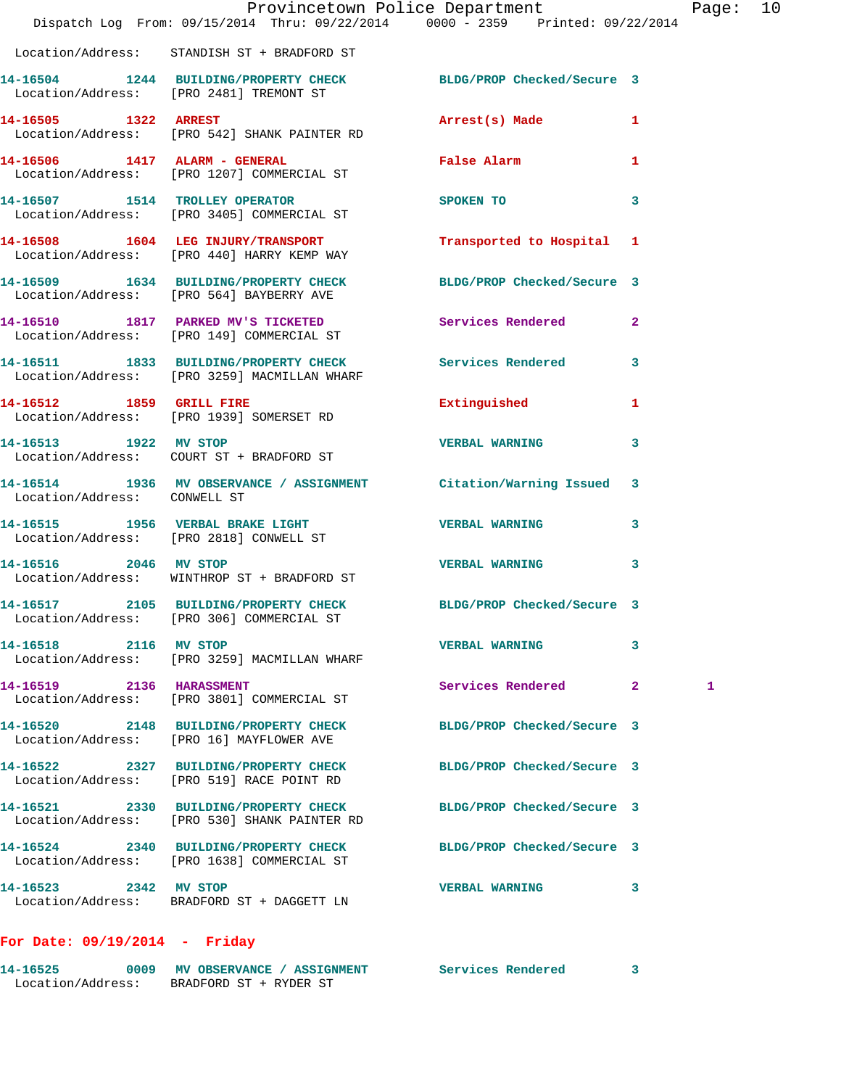|                              | Provincetown Police Department<br>Dispatch Log From: 09/15/2014 Thru: 09/22/2014 0000 - 2359 Printed: 09/22/2014 |                               |              | Page: 10 |  |
|------------------------------|------------------------------------------------------------------------------------------------------------------|-------------------------------|--------------|----------|--|
|                              | Location/Address: STANDISH ST + BRADFORD ST                                                                      |                               |              |          |  |
|                              | 14-16504 1244 BUILDING/PROPERTY CHECK BLDG/PROP Checked/Secure 3<br>Location/Address: [PRO 2481] TREMONT ST      |                               |              |          |  |
| 14-16505 1322 ARREST         | Location/Address: [PRO 542] SHANK PAINTER RD                                                                     | Arrest(s) Made 1              |              |          |  |
|                              | 14-16506 1417 ALARM - GENERAL<br>Location/Address: [PRO 1207] COMMERCIAL ST                                      | False Alarm <b>Example 20</b> | $\mathbf{1}$ |          |  |
|                              | 14-16507 1514 TROLLEY OPERATOR<br>Location/Address: [PRO 3405] COMMERCIAL ST                                     | SPOKEN TO                     | 3            |          |  |
|                              | 14-16508 1604 LEG INJURY/TRANSPORT<br>Location/Address: [PRO 440] HARRY KEMP WAY                                 | Transported to Hospital 1     |              |          |  |
|                              | 14-16509 1634 BUILDING/PROPERTY CHECK<br>Location/Address: [PRO 564] BAYBERRY AVE                                | BLDG/PROP Checked/Secure 3    |              |          |  |
|                              | 14-16510 1817 PARKED MV'S TICKETED<br>Location/Address: [PRO 149] COMMERCIAL ST                                  | Services Rendered 2           |              |          |  |
|                              | 14-16511 1833 BUILDING/PROPERTY CHECK Services Rendered<br>Location/Address: [PRO 3259] MACMILLAN WHARF          |                               | 3            |          |  |
|                              | 14-16512 1859 GRILL FIRE<br>Location/Address: [PRO 1939] SOMERSET RD                                             | Extinguished 1                |              |          |  |
|                              | 14-16513 1922 MV STOP<br>Location/Address: COURT ST + BRADFORD ST                                                | <b>VERBAL WARNING</b>         | 3            |          |  |
| Location/Address: CONWELL ST | 14-16514 1936 MV OBSERVANCE / ASSIGNMENT Citation/Warning Issued 3                                               |                               |              |          |  |
|                              | 14-16515 1956 VERBAL BRAKE LIGHT<br>Location/Address: [PRO 2818] CONWELL ST                                      | <b>VERBAL WARNING</b>         | 3            |          |  |
| 14-16516 2046 MV STOP        | Location/Address: WINTHROP ST + BRADFORD ST                                                                      | <b>VERBAL WARNING</b>         | $\mathbf{3}$ |          |  |
|                              | 14-16517 2105 BUILDING/PROPERTY CHECK BLDG/PROP Checked/Secure 3<br>Location/Address: [PRO 306] COMMERCIAL ST    |                               |              |          |  |
| 14-16518 2116 MV STOP        | Location/Address: [PRO 3259] MACMILLAN WHARF                                                                     | <b>VERBAL WARNING</b>         | 3            |          |  |
| 14-16519 2136 HARASSMENT     | Location/Address: [PRO 3801] COMMERCIAL ST                                                                       | Services Rendered             | $\mathbf{2}$ | 1        |  |
|                              | 14-16520 2148 BUILDING/PROPERTY CHECK<br>Location/Address: [PRO 16] MAYFLOWER AVE                                | BLDG/PROP Checked/Secure 3    |              |          |  |
|                              | 14-16522 2327 BUILDING/PROPERTY CHECK<br>Location/Address: [PRO 519] RACE POINT RD                               | BLDG/PROP Checked/Secure 3    |              |          |  |
|                              | 14-16521 2330 BUILDING/PROPERTY CHECK<br>Location/Address: [PRO 530] SHANK PAINTER RD                            | BLDG/PROP Checked/Secure 3    |              |          |  |
|                              | 14-16524 2340 BUILDING/PROPERTY CHECK<br>Location/Address: [PRO 1638] COMMERCIAL ST                              | BLDG/PROP Checked/Secure 3    |              |          |  |
| 14-16523 2342 MV STOP        | Location/Address: BRADFORD ST + DAGGETT LN                                                                       | <b>VERBAL WARNING</b>         | 3            |          |  |
|                              |                                                                                                                  |                               |              |          |  |

## **For Date: 09/19/2014 - Friday**

| 14-16525          | 0009 | <b>MV OBSERVANCE / ASSIGNMENT</b> | Services Rendered |  |
|-------------------|------|-----------------------------------|-------------------|--|
| Location/Address: |      | BRADFORD ST + RYDER ST            |                   |  |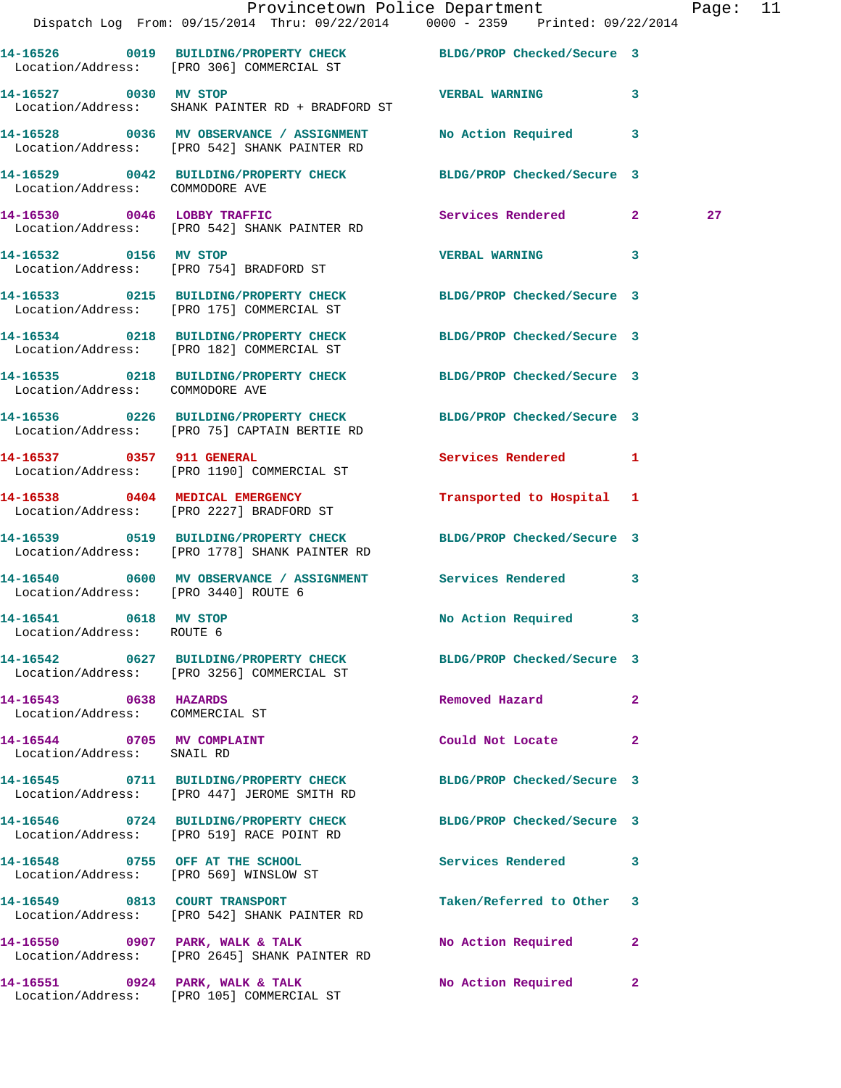|                                                          | Provincetown Police Department The Rage: 11<br>Dispatch Log From: 09/15/2014 Thru: 09/22/2014 0000 - 2359 Printed: 09/22/2014 |                                    |    |
|----------------------------------------------------------|-------------------------------------------------------------------------------------------------------------------------------|------------------------------------|----|
|                                                          | 14-16526 0019 BUILDING/PROPERTY CHECK BLDG/PROP Checked/Secure 3<br>Location/Address: [PRO 306] COMMERCIAL ST                 |                                    |    |
| 14-16527 0030 MV STOP                                    | Location/Address: SHANK PAINTER RD + BRADFORD ST                                                                              | <b>VERBAL WARNING</b> 3            |    |
|                                                          | 14-16528 0036 MV OBSERVANCE / ASSIGNMENT No Action Required 3<br>Location/Address: [PRO 542] SHANK PAINTER RD                 |                                    |    |
| Location/Address: COMMODORE AVE                          | 14-16529 0042 BUILDING/PROPERTY CHECK BLDG/PROP Checked/Secure 3                                                              |                                    |    |
|                                                          | 14-16530 0046 LOBBY TRAFFIC<br>Location/Address: [PRO 542] SHANK PAINTER RD                                                   | Services Rendered 2                | 27 |
|                                                          | 14-16532 0156 MV STOP<br>Location/Address: [PRO 754] BRADFORD ST                                                              | VERBAL WARNING 3                   |    |
|                                                          | 14-16533 0215 BUILDING/PROPERTY CHECK BLDG/PROP Checked/Secure 3<br>Location/Address: [PRO 175] COMMERCIAL ST                 |                                    |    |
|                                                          | 14-16534 0218 BUILDING/PROPERTY CHECK BLDG/PROP Checked/Secure 3<br>Location/Address: [PRO 182] COMMERCIAL ST                 |                                    |    |
| Location/Address: COMMODORE AVE                          | 14-16535 0218 BUILDING/PROPERTY CHECK BLDG/PROP Checked/Secure 3                                                              |                                    |    |
|                                                          | 14-16536 0226 BUILDING/PROPERTY CHECK BLDG/PROP Checked/Secure 3<br>Location/Address: [PRO 75] CAPTAIN BERTIE RD              |                                    |    |
| 14-16537 0357 911 GENERAL                                | Location/Address: [PRO 1190] COMMERCIAL ST                                                                                    | Services Rendered 1                |    |
|                                                          | 14-16538 0404 MEDICAL EMERGENCY<br>Location/Address: [PRO 2227] BRADFORD ST                                                   | Transported to Hospital 1          |    |
|                                                          | 14-16539 0519 BUILDING/PROPERTY CHECK BLDG/PROP Checked/Secure 3<br>Location/Address: [PRO 1778] SHANK PAINTER RD             |                                    |    |
| Location/Address: [PRO 3440] ROUTE 6                     | 14-16540 0600 MV OBSERVANCE / ASSIGNMENT Services Rendered 3                                                                  |                                    |    |
| 14-16541 0618 MV STOP<br>Location/Address: ROUTE 6       |                                                                                                                               | No Action Required 3               |    |
|                                                          | 14-16542 0627 BUILDING/PROPERTY CHECK BLDG/PROP Checked/Secure 3<br>Location/Address: [PRO 3256] COMMERCIAL ST                |                                    |    |
| 14-16543 0638 HAZARDS<br>Location/Address: COMMERCIAL ST |                                                                                                                               | Removed Hazard 2                   |    |
| 14-16544 0705 MV COMPLAINT<br>Location/Address: SNAIL RD |                                                                                                                               | Could Not Locate 2                 |    |
|                                                          | 14-16545 0711 BUILDING/PROPERTY CHECK BLDG/PROP Checked/Secure 3<br>Location/Address: [PRO 447] JEROME SMITH RD               |                                    |    |
|                                                          | 14-16546 0724 BUILDING/PROPERTY CHECK BLDG/PROP Checked/Secure 3<br>Location/Address: [PRO 519] RACE POINT RD                 |                                    |    |
|                                                          | 14-16548 0755 OFF AT THE SCHOOL<br>Location/Address: [PRO 569] WINSLOW ST                                                     | Services Rendered 3                |    |
|                                                          | 14-16549 0813 COURT TRANSPORT<br>Location/Address: [PRO 542] SHANK PAINTER RD                                                 | Taken/Referred to Other 3          |    |
|                                                          | 14-16550 0907 PARK, WALK & TALK<br>Location/Address: [PRO 2645] SHANK PAINTER RD                                              | No Action Required 2               |    |
|                                                          | 14-16551 0924 PARK, WALK & TALK<br>Location/Address: [PRO 105] COMMERCIAL ST                                                  | No Action Required<br>$\mathbf{2}$ |    |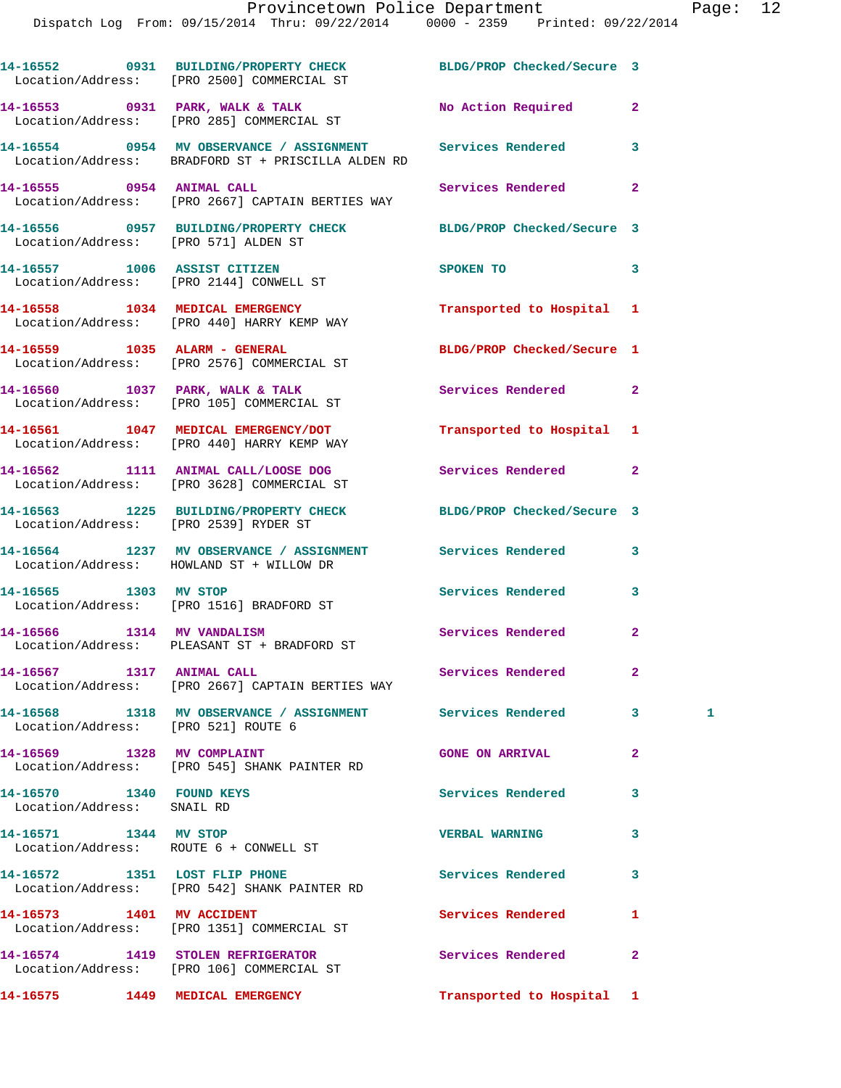|                                                        | 14-16552 0931 BUILDING/PROPERTY CHECK BLDG/PROP Checked/Secure 3<br>Location/Address: [PRO 2500] COMMERCIAL ST   |                            |                |              |
|--------------------------------------------------------|------------------------------------------------------------------------------------------------------------------|----------------------------|----------------|--------------|
|                                                        | 14-16553 0931 PARK, WALK & TALK<br>Location/Address: [PRO 285] COMMERCIAL ST                                     | No Action Required         | $\mathbf{2}$   |              |
|                                                        | 14-16554 0954 MV OBSERVANCE / ASSIGNMENT Services Rendered<br>Location/Address: BRADFORD ST + PRISCILLA ALDEN RD |                            | 3              |              |
|                                                        | 14-16555 0954 ANIMAL CALL<br>Location/Address: [PRO 2667] CAPTAIN BERTIES WAY                                    | Services Rendered          | $\overline{a}$ |              |
| Location/Address: [PRO 571] ALDEN ST                   | 14-16556 0957 BUILDING/PROPERTY CHECK BLDG/PROP Checked/Secure 3                                                 |                            |                |              |
|                                                        | 14-16557 1006 ASSIST CITIZEN<br>Location/Address: [PRO 2144] CONWELL ST                                          | SPOKEN TO                  | 3              |              |
|                                                        | 14-16558 1034 MEDICAL EMERGENCY<br>Location/Address: [PRO 440] HARRY KEMP WAY                                    | Transported to Hospital 1  |                |              |
|                                                        | 14-16559 1035 ALARM - GENERAL<br>Location/Address: [PRO 2576] COMMERCIAL ST                                      | BLDG/PROP Checked/Secure 1 |                |              |
|                                                        | 14-16560 1037 PARK, WALK & TALK<br>Location/Address: [PRO 105] COMMERCIAL ST                                     | Services Rendered          | $\overline{2}$ |              |
|                                                        | 14-16561 1047 MEDICAL EMERGENCY/DOT<br>Location/Address: [PRO 440] HARRY KEMP WAY                                | Transported to Hospital 1  |                |              |
|                                                        | 14-16562 1111 ANIMAL CALL/LOOSE DOG Services Rendered<br>Location/Address: [PRO 3628] COMMERCIAL ST              |                            | $\mathbf{2}$   |              |
|                                                        | 14-16563 1225 BUILDING/PROPERTY CHECK BLDG/PROP Checked/Secure 3<br>Location/Address: [PRO 2539] RYDER ST        |                            |                |              |
|                                                        | 14-16564 1237 MV OBSERVANCE / ASSIGNMENT Services Rendered<br>Location/Address: HOWLAND ST + WILLOW DR           |                            | 3              |              |
| 14-16565 1303 MV STOP                                  | Location/Address: [PRO 1516] BRADFORD ST                                                                         | Services Rendered          | 3              |              |
|                                                        | 14-16566 1314 MV VANDALISM<br>Location/Address: PLEASANT ST + BRADFORD ST                                        | Services Rendered          | $\mathbf{2}$   |              |
| 14-16567 1317 ANIMAL CALL                              | Location/Address: [PRO 2667] CAPTAIN BERTIES WAY                                                                 | Services Rendered          | -2             |              |
| Location/Address: [PRO 521] ROUTE 6                    | 14-16568 1318 MV OBSERVANCE / ASSIGNMENT Services Rendered                                                       |                            | $\mathbf{3}$   | $\mathbf{1}$ |
| 14-16569 1328 MV COMPLAINT                             | Location/Address: [PRO 545] SHANK PAINTER RD                                                                     | <b>GONE ON ARRIVAL</b>     | $\mathbf{2}$   |              |
| 14-16570 1340 FOUND KEYS<br>Location/Address: SNAIL RD |                                                                                                                  | Services Rendered          | 3              |              |
| 14-16571 1344 MV STOP                                  | Location/Address: ROUTE 6 + CONWELL ST                                                                           | <b>VERBAL WARNING</b>      | 3              |              |
|                                                        | 14-16572 1351 LOST FLIP PHONE<br>Location/Address: [PRO 542] SHANK PAINTER RD                                    | <b>Services Rendered</b>   | 3              |              |
| 14-16573 1401 MV ACCIDENT                              | Location/Address: [PRO 1351] COMMERCIAL ST                                                                       | Services Rendered          | 1              |              |
|                                                        | 14-16574 1419 STOLEN REFRIGERATOR<br>Location/Address: [PRO 106] COMMERCIAL ST                                   | Services Rendered          | $\mathbf{2}$   |              |
|                                                        | 14-16575 1449 MEDICAL EMERGENCY                                                                                  | Transported to Hospital 1  |                |              |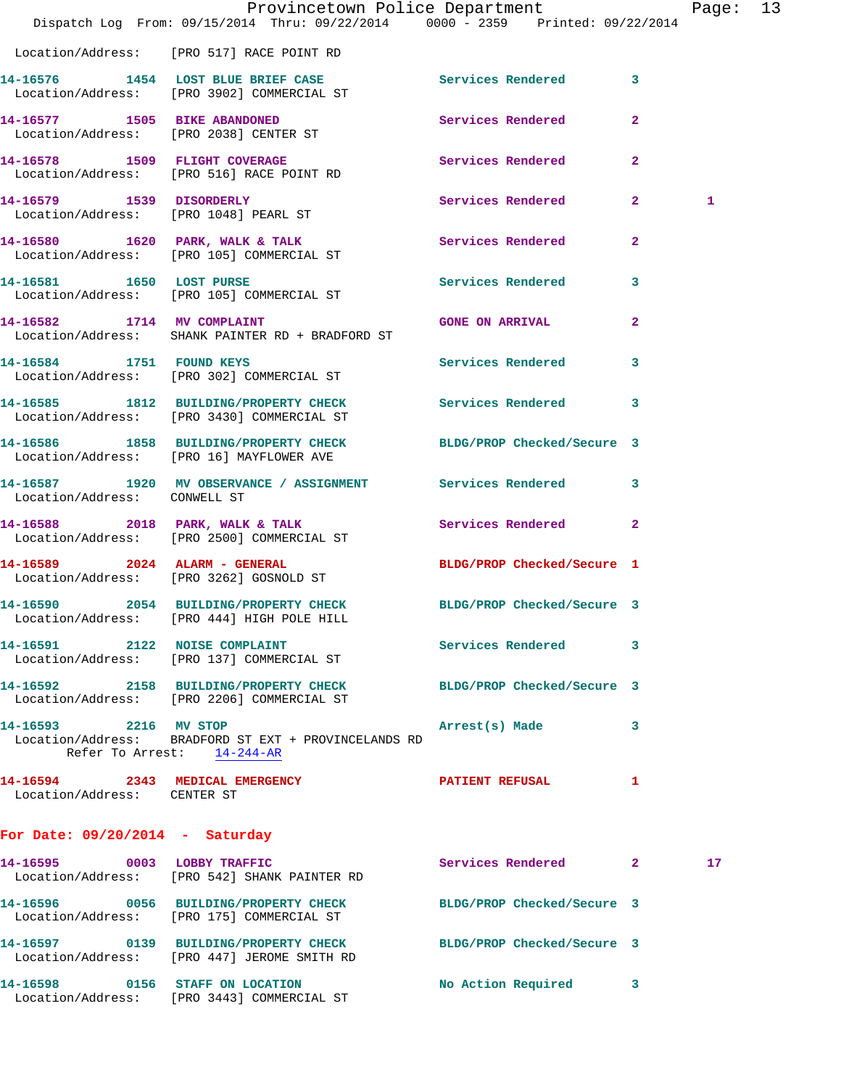|                                   | Dispatch Log From: 09/15/2014 Thru: 09/22/2014 0000 - 2359 Printed: 09/22/2014                                  | Provincetown Police Department |                | Page: 13 |  |
|-----------------------------------|-----------------------------------------------------------------------------------------------------------------|--------------------------------|----------------|----------|--|
|                                   | Location/Address: [PRO 517] RACE POINT RD                                                                       |                                |                |          |  |
|                                   | 14-16576 1454 LOST BLUE BRIEF CASE<br>Location/Address: [PRO 3902] COMMERCIAL ST                                | Services Rendered              | $\mathbf{3}$   |          |  |
|                                   | 14-16577 1505 BIKE ABANDONED<br>Location/Address: [PRO 2038] CENTER ST                                          | Services Rendered              | $\overline{a}$ |          |  |
|                                   | 14-16578 1509 FLIGHT COVERAGE<br>Location/Address: [PRO 516] RACE POINT RD                                      | Services Rendered              | $\mathbf{2}$   |          |  |
|                                   | 14-16579 1539 DISORDERLY<br>Location/Address: [PRO 1048] PEARL ST                                               | Services Rendered 2            |                | 1        |  |
|                                   | 14-16580 1620 PARK, WALK & TALK Services Rendered<br>Location/Address: [PRO 105] COMMERCIAL ST                  |                                | $\mathbf{2}$   |          |  |
|                                   | 14-16581 1650 LOST PURSE<br>Location/Address: [PRO 105] COMMERCIAL ST                                           | <b>Services Rendered</b>       | 3              |          |  |
| 14-16582 1714 MV COMPLAINT        | Location/Address: SHANK PAINTER RD + BRADFORD ST                                                                | <b>GONE ON ARRIVAL</b>         | $\mathbf{2}$   |          |  |
|                                   | 14-16584 1751 FOUND KEYS<br>Location/Address: [PRO 302] COMMERCIAL ST                                           | Services Rendered              | 3              |          |  |
|                                   | 14-16585 1812 BUILDING/PROPERTY CHECK Services Rendered<br>Location/Address: [PRO 3430] COMMERCIAL ST           |                                | 3              |          |  |
|                                   | 14-16586 1858 BUILDING/PROPERTY CHECK BLDG/PROP Checked/Secure 3<br>Location/Address: [PRO 16] MAYFLOWER AVE    |                                |                |          |  |
| Location/Address: CONWELL ST      | 14-16587 1920 MV OBSERVANCE / ASSIGNMENT Services Rendered                                                      |                                | 3              |          |  |
|                                   | 14-16588 2018 PARK, WALK & TALK 3 Services Rendered 2<br>Location/Address: [PRO 2500] COMMERCIAL ST             |                                |                |          |  |
|                                   | 14-16589 2024 ALARM - GENERAL<br>Location/Address: [PRO 3262] GOSNOLD ST                                        | BLDG/PROP Checked/Secure 1     |                |          |  |
|                                   | 14-16590 2054 BUILDING/PROPERTY CHECK BLDG/PROP Checked/Secure 3<br>Location/Address: [PRO 444] HIGH POLE HILL  |                                |                |          |  |
|                                   | 14-16591 2122 NOISE COMPLAINT<br>Location/Address: [PRO 137] COMMERCIAL ST                                      | <b>Services Rendered</b>       | 3              |          |  |
|                                   | 14-16592 2158 BUILDING/PROPERTY CHECK BLDG/PROP Checked/Secure 3<br>Location/Address: [PRO 2206] COMMERCIAL ST  |                                |                |          |  |
| 14-16593 2216 MV STOP             | Location/Address: BRADFORD ST EXT + PROVINCELANDS RD<br>Refer To Arrest: 14-244-AR                              | Arrest(s) Made                 | 3              |          |  |
| Location/Address: CENTER ST       | 14-16594 2343 MEDICAL EMERGENCY                                                                                 | PATIENT REFUSAL                | -1             |          |  |
| For Date: $09/20/2014$ - Saturday |                                                                                                                 |                                |                |          |  |
|                                   | 14-16595 0003 LOBBY TRAFFIC<br>Location/Address: [PRO 542] SHANK PAINTER RD                                     | Services Rendered 2            |                | 17       |  |
|                                   | 14-16596 0056 BUILDING/PROPERTY CHECK<br>Location/Address: [PRO 175] COMMERCIAL ST                              | BLDG/PROP Checked/Secure 3     |                |          |  |
|                                   | 14-16597 0139 BUILDING/PROPERTY CHECK BLDG/PROP Checked/Secure 3<br>Location/Address: [PRO 447] JEROME SMITH RD |                                |                |          |  |
|                                   | 14-16598 0156 STAFF ON LOCATION<br>Location/Address: [PRO 3443] COMMERCIAL ST                                   | No Action Required             | 3              |          |  |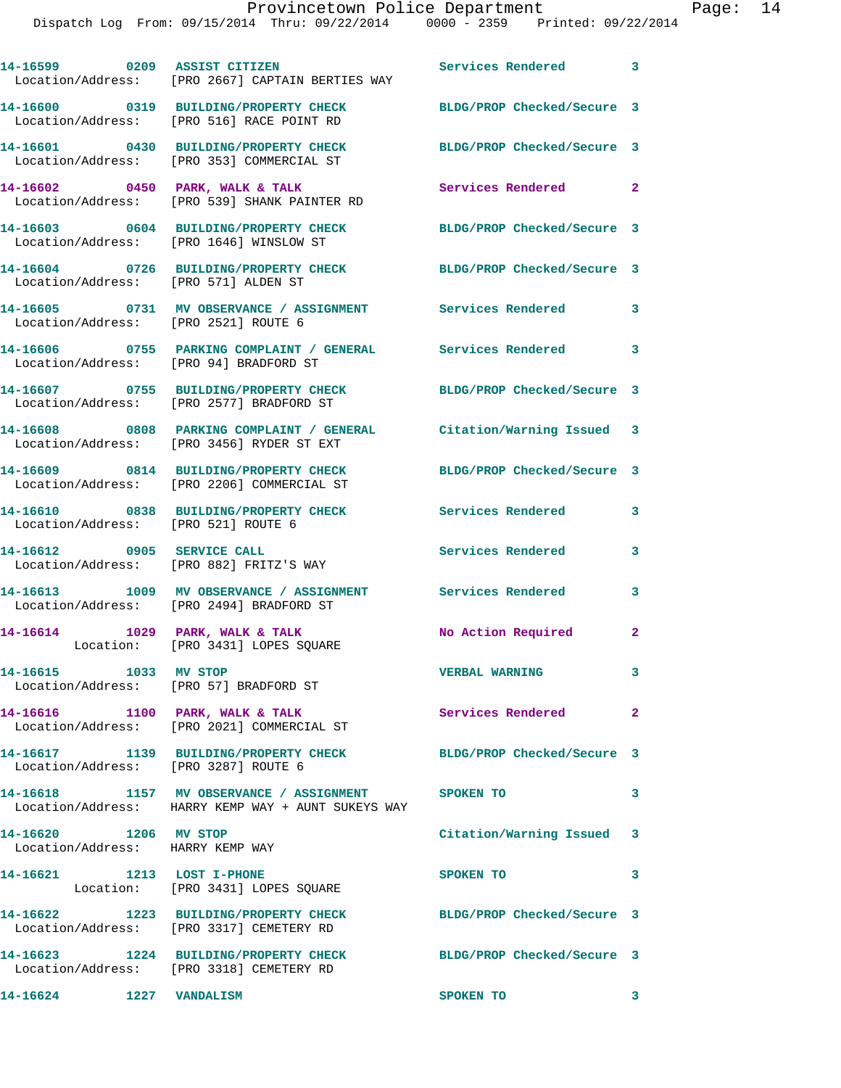|                                                           | 14-16599 0209 ASSIST CITIZEN<br>Location/Address: [PRO 2667] CAPTAIN BERTIES WAY                                 | Services Rendered 3        |                         |
|-----------------------------------------------------------|------------------------------------------------------------------------------------------------------------------|----------------------------|-------------------------|
|                                                           | 14-16600 0319 BUILDING/PROPERTY CHECK BLDG/PROP Checked/Secure 3<br>Location/Address: [PRO 516] RACE POINT RD    |                            |                         |
|                                                           | 14-16601 0430 BUILDING/PROPERTY CHECK<br>Location/Address: [PRO 353] COMMERCIAL ST                               | BLDG/PROP Checked/Secure 3 |                         |
|                                                           | 14-16602 0450 PARK, WALK & TALK<br>Location/Address: [PRO 539] SHANK PAINTER RD                                  | Services Rendered          | $\mathbf{2}$            |
|                                                           | 14-16603 0604 BUILDING/PROPERTY CHECK<br>Location/Address: [PRO 1646] WINSLOW ST                                 | BLDG/PROP Checked/Secure 3 |                         |
| Location/Address: [PRO 571] ALDEN ST                      | 14-16604 0726 BUILDING/PROPERTY CHECK                                                                            | BLDG/PROP Checked/Secure 3 |                         |
| Location/Address: [PRO 2521] ROUTE 6                      | 14-16605 0731 MV OBSERVANCE / ASSIGNMENT Services Rendered                                                       |                            | 3                       |
| Location/Address: [PRO 94] BRADFORD ST                    | 14-16606 0755 PARKING COMPLAINT / GENERAL Services Rendered 3                                                    |                            |                         |
|                                                           | 14-16607 0755 BUILDING/PROPERTY CHECK<br>Location/Address: [PRO 2577] BRADFORD ST                                | BLDG/PROP Checked/Secure 3 |                         |
|                                                           | 14-16608 0808 PARKING COMPLAINT / GENERAL Citation/Warning Issued 3<br>Location/Address: [PRO 3456] RYDER ST EXT |                            |                         |
|                                                           | 14-16609 0814 BUILDING/PROPERTY CHECK<br>Location/Address: [PRO 2206] COMMERCIAL ST                              | BLDG/PROP Checked/Secure 3 |                         |
| Location/Address: [PRO 521] ROUTE 6                       | 14-16610 0838 BUILDING/PROPERTY CHECK                                                                            | Services Rendered          | 3                       |
|                                                           | 14-16612 0905 SERVICE CALL<br>Location/Address: [PRO 882] FRITZ'S WAY                                            | Services Rendered          | 3                       |
|                                                           | 14-16613 1009 MV OBSERVANCE / ASSIGNMENT Services Rendered<br>Location/Address: [PRO 2494] BRADFORD ST           |                            | 3                       |
|                                                           | 14-16614 1029 PARK, WALK & TALK<br>Location: [PRO 3431] LOPES SQUARE                                             | No Action Required         | $\mathbf{2}$            |
| 14-16615 1033 MV STOP                                     | Location/Address: [PRO 57] BRADFORD ST                                                                           | <b>VERBAL WARNING</b>      |                         |
|                                                           | 14-16616 1100 PARK, WALK & TALK<br>Location/Address: [PRO 2021] COMMERCIAL ST                                    | Services Rendered 2        |                         |
| Location/Address: [PRO 3287] ROUTE 6                      | 14-16617 1139 BUILDING/PROPERTY CHECK                                                                            | BLDG/PROP Checked/Secure 3 |                         |
|                                                           | 14-16618 1157 MV OBSERVANCE / ASSIGNMENT SPOKEN TO<br>Location/Address: HARRY KEMP WAY + AUNT SUKEYS WAY         |                            | 3                       |
| 14-16620 1206 MV STOP<br>Location/Address: HARRY KEMP WAY |                                                                                                                  | Citation/Warning Issued 3  |                         |
|                                                           | 14-16621 1213 LOST I-PHONE<br>Location: [PRO 3431] LOPES SQUARE                                                  | SPOKEN TO                  | 3                       |
|                                                           | 14-16622 1223 BUILDING/PROPERTY CHECK BLDG/PROP Checked/Secure 3<br>Location/Address: [PRO 3317] CEMETERY RD     |                            |                         |
|                                                           | 14-16623 1224 BUILDING/PROPERTY CHECK<br>Location/Address: [PRO 3318] CEMETERY RD                                | BLDG/PROP Checked/Secure 3 |                         |
| 14-16624 1227 VANDALISM                                   |                                                                                                                  | SPOKEN TO                  | $\overline{\mathbf{3}}$ |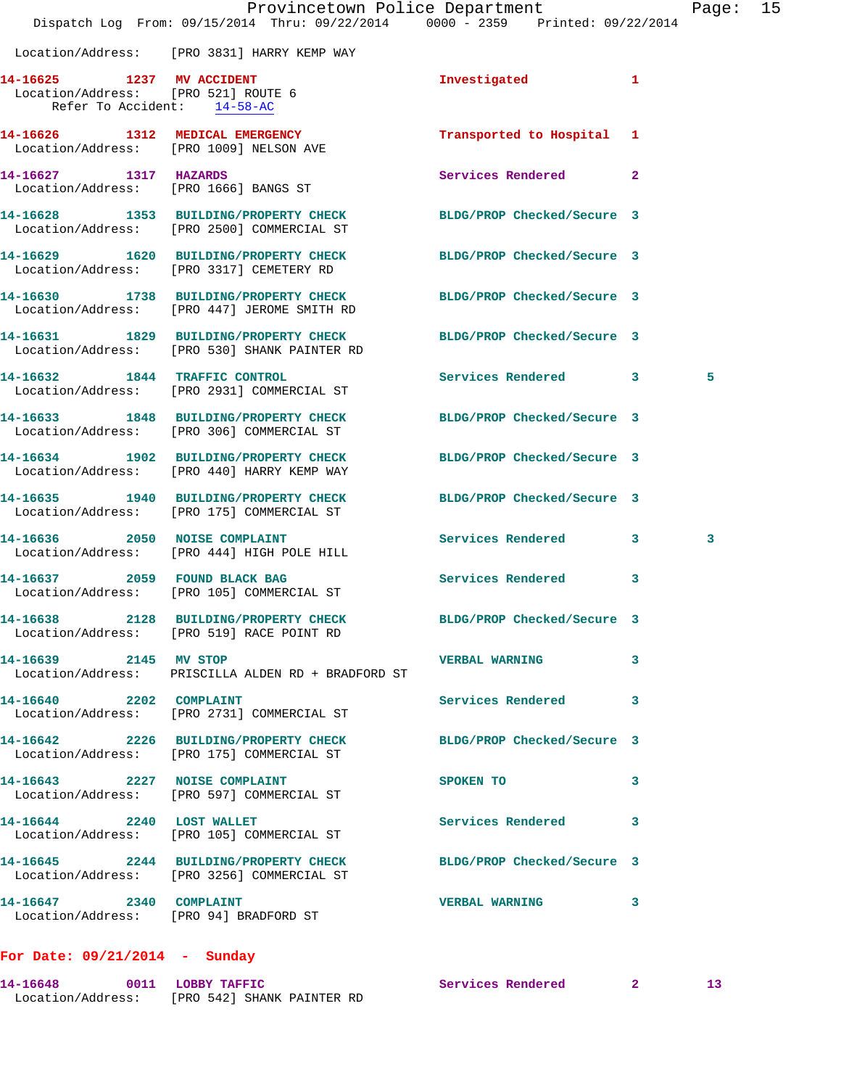|                                                                                                 | Dispatch Log From: 09/15/2014 Thru: 09/22/2014 0000 - 2359 Printed: 09/22/2014                                   | Provincetown Police Department Page: 15 |   |   |  |
|-------------------------------------------------------------------------------------------------|------------------------------------------------------------------------------------------------------------------|-----------------------------------------|---|---|--|
|                                                                                                 | Location/Address: [PRO 3831] HARRY KEMP WAY                                                                      |                                         |   |   |  |
| 14-16625 1237 MV ACCIDENT<br>Location/Address: [PRO 521] ROUTE 6<br>Refer To Accident: 14-58-AC |                                                                                                                  | Investigated                            |   |   |  |
|                                                                                                 | 14-16626 1312 MEDICAL EMERGENCY<br>Location/Address: [PRO 1009] NELSON AVE                                       | Transported to Hospital 1               |   |   |  |
| 14-16627 1317 HAZARDS                                                                           | Location/Address: [PRO 1666] BANGS ST                                                                            | Services Rendered 2                     |   |   |  |
|                                                                                                 | 14-16628 1353 BUILDING/PROPERTY CHECK<br>Location/Address: [PRO 2500] COMMERCIAL ST                              | BLDG/PROP Checked/Secure 3              |   |   |  |
|                                                                                                 | 14-16629 1620 BUILDING/PROPERTY CHECK<br>Location/Address: [PRO 3317] CEMETERY RD                                | BLDG/PROP Checked/Secure 3              |   |   |  |
|                                                                                                 | 14-16630 1738 BUILDING/PROPERTY CHECK<br>Location/Address: [PRO 447] JEROME SMITH RD                             | BLDG/PROP Checked/Secure 3              |   |   |  |
|                                                                                                 | 14-16631 1829 BUILDING/PROPERTY CHECK BLDG/PROP Checked/Secure 3<br>Location/Address: [PRO 530] SHANK PAINTER RD |                                         |   |   |  |
|                                                                                                 | 14-16632 1844 TRAFFIC CONTROL<br>Location/Address: [PRO 2931] COMMERCIAL ST                                      | Services Rendered 3                     |   | 5 |  |
|                                                                                                 | 14-16633 1848 BUILDING/PROPERTY CHECK<br>Location/Address: [PRO 306] COMMERCIAL ST                               | BLDG/PROP Checked/Secure 3              |   |   |  |
|                                                                                                 | 14-16634 1902 BUILDING/PROPERTY CHECK<br>Location/Address: [PRO 440] HARRY KEMP WAY                              | BLDG/PROP Checked/Secure 3              |   |   |  |
|                                                                                                 | 14-16635 1940 BUILDING/PROPERTY CHECK<br>Location/Address: [PRO 175] COMMERCIAL ST                               | BLDG/PROP Checked/Secure 3              |   |   |  |
|                                                                                                 | 14-16636 2050 NOISE COMPLAINT<br>Location/Address: [PRO 444] HIGH POLE HILL                                      | Services Rendered 3                     |   | 3 |  |
|                                                                                                 | 14-16637 2059 FOUND BLACK BAG<br>Location/Address: [PRO 105] COMMERCIAL ST                                       | <b>Services Rendered</b>                | 3 |   |  |
|                                                                                                 | Location/Address: [PRO 519] RACE POINT RD                                                                        | BLDG/PROP Checked/Secure 3              |   |   |  |
| 14-16639 2145 MV STOP                                                                           | Location/Address: PRISCILLA ALDEN RD + BRADFORD ST                                                               | <b>VERBAL WARNING</b>                   | 3 |   |  |
| 14-16640 2202 COMPLAINT                                                                         | Location/Address: [PRO 2731] COMMERCIAL ST                                                                       | Services Rendered 3                     |   |   |  |
|                                                                                                 | 14-16642 2226 BUILDING/PROPERTY CHECK BLDG/PROP Checked/Secure 3<br>Location/Address: [PRO 175] COMMERCIAL ST    |                                         |   |   |  |
|                                                                                                 | 14-16643 2227 NOISE COMPLAINT<br>Location/Address: [PRO 597] COMMERCIAL ST                                       | SPOKEN TO                               | 3 |   |  |
|                                                                                                 | 14-16644 2240 LOST WALLET<br>Location/Address: [PRO 105] COMMERCIAL ST                                           | Services Rendered                       | 3 |   |  |
|                                                                                                 | 14-16645 2244 BUILDING/PROPERTY CHECK BLDG/PROP Checked/Secure 3<br>Location/Address: [PRO 3256] COMMERCIAL ST   |                                         |   |   |  |
| 14-16647 2340 COMPLAINT<br>Location/Address: [PRO 94] BRADFORD ST                               |                                                                                                                  | <b>VERBAL WARNING</b>                   | 3 |   |  |
|                                                                                                 |                                                                                                                  |                                         |   |   |  |

## **For Date: 09/21/2014 - Sunday**

| 14-16648          | 0011 LOBBY TAFFIC          | Services Rendered |  |
|-------------------|----------------------------|-------------------|--|
| Location/Address: | [PRO 542] SHANK PAINTER RD |                   |  |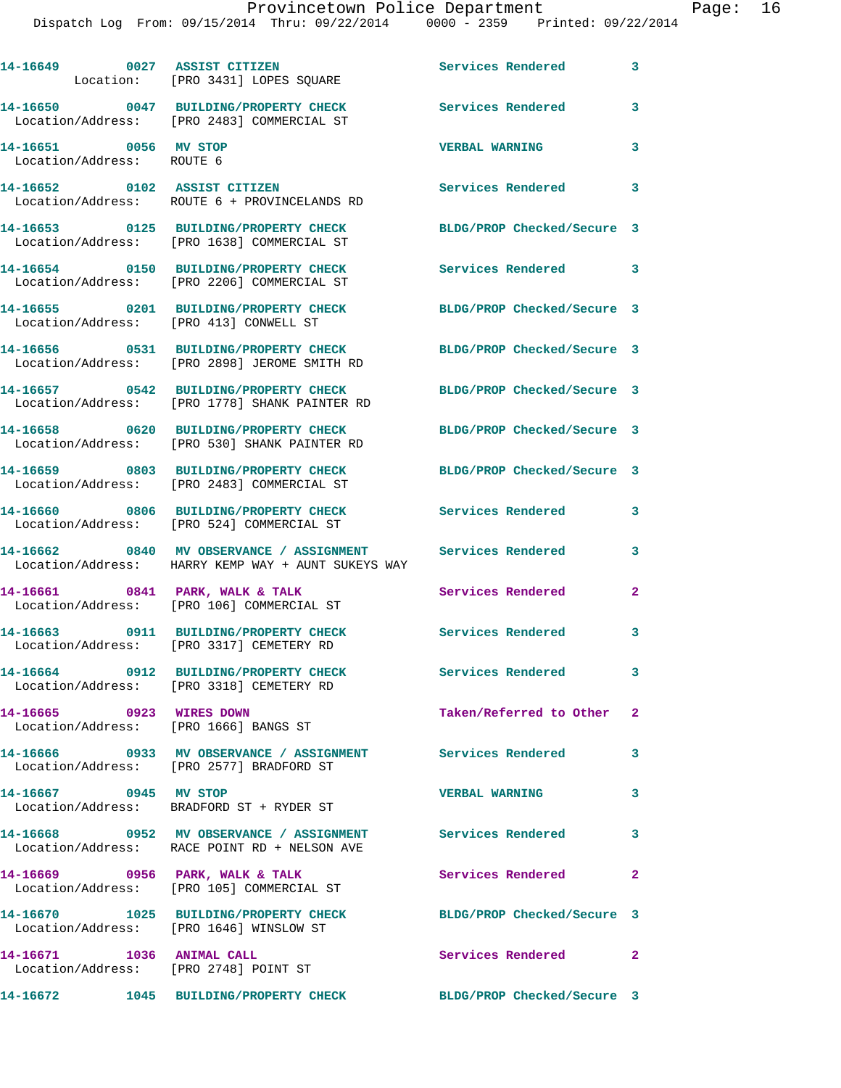|                                                    | 14-16649 0027 ASSIST CITIZEN<br>Location: [PRO 3431] LOPES SQUARE                                                | Services Rendered          | 3                          |
|----------------------------------------------------|------------------------------------------------------------------------------------------------------------------|----------------------------|----------------------------|
|                                                    | 14-16650 0047 BUILDING/PROPERTY CHECK<br>Location/Address: [PRO 2483] COMMERCIAL ST                              | Services Rendered 3        |                            |
| 14-16651 0056 MV STOP<br>Location/Address: ROUTE 6 |                                                                                                                  | <b>VERBAL WARNING</b>      | 3                          |
|                                                    | 14-16652 0102 ASSIST CITIZEN<br>Location/Address: ROUTE 6 + PROVINCELANDS RD                                     | <b>Services Rendered</b>   | 3                          |
|                                                    | 14-16653 0125 BUILDING/PROPERTY CHECK<br>Location/Address: [PRO 1638] COMMERCIAL ST                              | BLDG/PROP Checked/Secure 3 |                            |
|                                                    | 14-16654 0150 BUILDING/PROPERTY CHECK<br>Location/Address: [PRO 2206] COMMERCIAL ST                              | <b>Services Rendered</b>   | $\overline{\phantom{a}}$ 3 |
| Location/Address: [PRO 413] CONWELL ST             | 14-16655 0201 BUILDING/PROPERTY CHECK                                                                            | BLDG/PROP Checked/Secure 3 |                            |
|                                                    | 14-16656 0531 BUILDING/PROPERTY CHECK<br>Location/Address: [PRO 2898] JEROME SMITH RD                            | BLDG/PROP Checked/Secure 3 |                            |
|                                                    | 14-16657 0542 BUILDING/PROPERTY CHECK<br>Location/Address: [PRO 1778] SHANK PAINTER RD                           | BLDG/PROP Checked/Secure 3 |                            |
|                                                    | 14-16658 0620 BUILDING/PROPERTY CHECK<br>Location/Address: [PRO 530] SHANK PAINTER RD                            | BLDG/PROP Checked/Secure 3 |                            |
|                                                    | 14-16659 0803 BUILDING/PROPERTY CHECK<br>Location/Address: [PRO 2483] COMMERCIAL ST                              | BLDG/PROP Checked/Secure 3 |                            |
|                                                    | 14-16660 0806 BUILDING/PROPERTY CHECK<br>Location/Address: [PRO 524] COMMERCIAL ST                               | <b>Services Rendered</b>   | 3                          |
|                                                    | 14-16662 0840 MV OBSERVANCE / ASSIGNMENT Services Rendered<br>Location/Address: HARRY KEMP WAY + AUNT SUKEYS WAY |                            | 3                          |
|                                                    | 14-16661 0841 PARK, WALK & TALK<br>Location/Address: [PRO 106] COMMERCIAL ST                                     | Services Rendered          | $\mathbf{2}$               |
|                                                    | 14-16663 0911 BUILDING/PROPERTY CHECK<br>Location/Address: [PRO 3317] CEMETERY RD                                | Services Rendered 3        |                            |
|                                                    | 14-16664 0912 BUILDING/PROPERTY CHECK<br>Location/Address: [PRO 3318] CEMETERY RD                                | <b>Services Rendered</b>   | 3                          |
| 14-16665 0923 WIRES DOWN                           | Location/Address: [PRO 1666] BANGS ST                                                                            | Taken/Referred to Other    | $\mathbf{2}$               |
|                                                    | 14-16666 0933 MV OBSERVANCE / ASSIGNMENT Services Rendered<br>Location/Address: [PRO 2577] BRADFORD ST           |                            | 3                          |
| 14-16667 0945 MV STOP                              | Location/Address: BRADFORD ST + RYDER ST                                                                         | <b>VERBAL WARNING</b>      | $\mathbf{3}$               |
|                                                    | 14-16668 0952 MV OBSERVANCE / ASSIGNMENT Services Rendered<br>Location/Address: RACE POINT RD + NELSON AVE       |                            | 3                          |
|                                                    | 14-16669 0956 PARK, WALK & TALK<br>Location/Address: [PRO 105] COMMERCIAL ST                                     | Services Rendered          | $\mathbf{2}$               |
|                                                    | 14-16670 1025 BUILDING/PROPERTY CHECK<br>Location/Address: [PRO 1646] WINSLOW ST                                 | BLDG/PROP Checked/Secure 3 |                            |
| 14-16671 1036 ANIMAL CALL                          | Location/Address: [PRO 2748] POINT ST                                                                            | Services Rendered 2        |                            |
|                                                    | 14-16672      1045  BUILDING/PROPERTY CHECK        BLDG/PROP Checked/Secure 3                                    |                            |                            |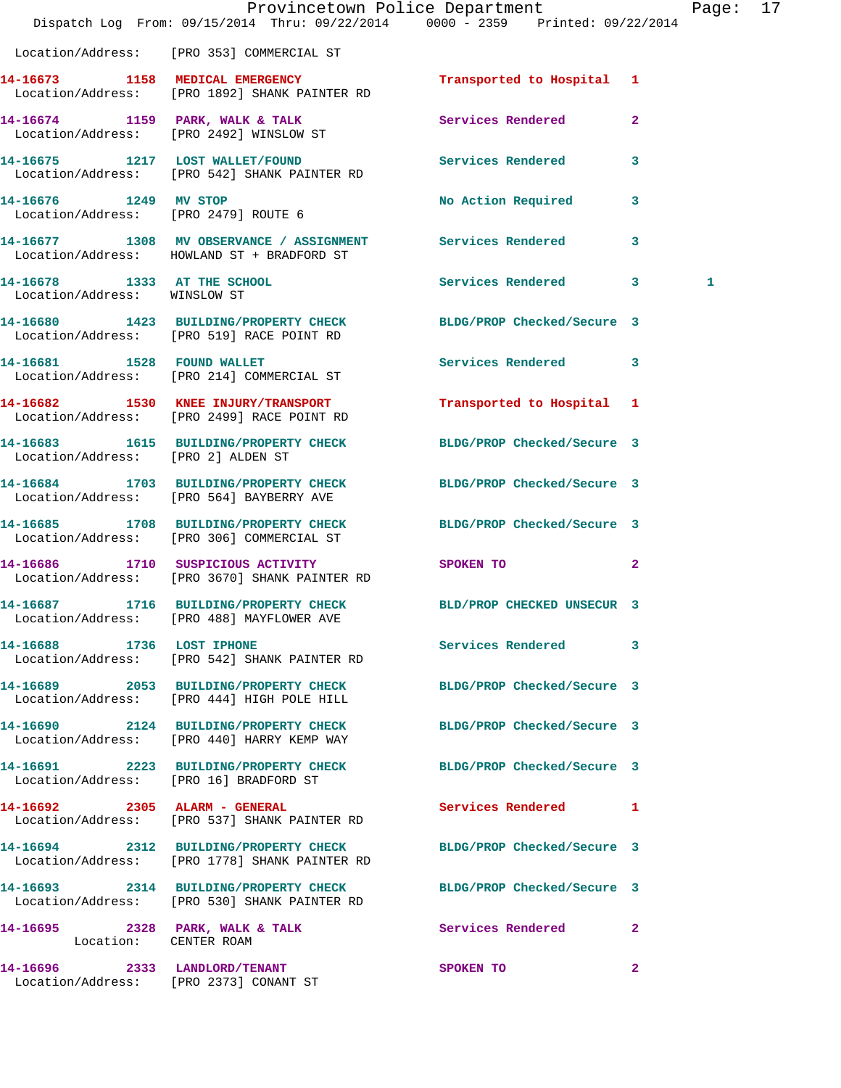|                                                             | Dispatch Log From: 09/15/2014 Thru: 09/22/2014 0000 - 2359 Printed: 09/22/2014                                   | Provincetown Police Department |              | Page: | 17 |
|-------------------------------------------------------------|------------------------------------------------------------------------------------------------------------------|--------------------------------|--------------|-------|----|
|                                                             | Location/Address: [PRO 353] COMMERCIAL ST                                                                        |                                |              |       |    |
|                                                             | 14-16673 1158 MEDICAL EMERGENCY<br>Location/Address: [PRO 1892] SHANK PAINTER RD                                 | Transported to Hospital 1      |              |       |    |
|                                                             | 14-16674 1159 PARK, WALK & TALK<br>Location/Address: [PRO 2492] WINSLOW ST                                       | Services Rendered              | $\mathbf{2}$ |       |    |
|                                                             | 14-16675 1217 LOST WALLET/FOUND<br>Location/Address: [PRO 542] SHANK PAINTER RD                                  | Services Rendered 3            |              |       |    |
| Location/Address: [PRO 2479] ROUTE 6                        | 14-16676 1249 MV STOP                                                                                            | No Action Required 3           |              |       |    |
|                                                             | 14-16677 1308 MV OBSERVANCE / ASSIGNMENT Services Rendered 3<br>Location/Address: HOWLAND ST + BRADFORD ST       |                                |              |       |    |
| 14-16678 1333 AT THE SCHOOL<br>Location/Address: WINSLOW ST |                                                                                                                  | Services Rendered 3            |              | 1     |    |
|                                                             | 14-16680 1423 BUILDING/PROPERTY CHECK BLDG/PROP Checked/Secure 3<br>Location/Address: [PRO 519] RACE POINT RD    |                                |              |       |    |
|                                                             | 14-16681 1528 FOUND WALLET<br>Location/Address: [PRO 214] COMMERCIAL ST                                          | Services Rendered 3            |              |       |    |
|                                                             | 14-16682 1530 KNEE INJURY/TRANSPORT<br>Location/Address: [PRO 2499] RACE POINT RD                                | Transported to Hospital 1      |              |       |    |
|                                                             | 14-16683   1615   BUILDING/PROPERTY CHECK   BLDG/PROP Checked/Secure 3   Location/Address: [PRO 2] ALDEN ST      |                                |              |       |    |
|                                                             | 14-16684 1703 BUILDING/PROPERTY CHECK<br>Location/Address: [PRO 564] BAYBERRY AVE                                | BLDG/PROP Checked/Secure 3     |              |       |    |
|                                                             | 14-16685 1708 BUILDING/PROPERTY CHECK<br>Location/Address: [PRO 306] COMMERCIAL ST                               | BLDG/PROP Checked/Secure 3     |              |       |    |
|                                                             | 14-16686 1710 SUSPICIOUS ACTIVITY<br>Location/Address: [PRO 3670] SHANK PAINTER RD                               | SPOKEN TO                      | $\mathbf{2}$ |       |    |
|                                                             | 14-16687 1716 BUILDING/PROPERTY CHECK BLD/PROP CHECKED UNSECUR 3<br>Location/Address: [PRO 488] MAYFLOWER AVE    |                                |              |       |    |
|                                                             | 14-16688 1736 LOST IPHONE<br>Location/Address: [PRO 542] SHANK PAINTER RD                                        | Services Rendered 3            |              |       |    |
|                                                             | 14-16689 2053 BUILDING/PROPERTY CHECK<br>Location/Address: [PRO 444] HIGH POLE HILL                              | BLDG/PROP Checked/Secure 3     |              |       |    |
|                                                             | 14-16690 2124 BUILDING/PROPERTY CHECK BLDG/PROP Checked/Secure 3<br>Location/Address: [PRO 440] HARRY KEMP WAY   |                                |              |       |    |
|                                                             | 14-16691 2223 BUILDING/PROPERTY CHECK BLDG/PROP Checked/Secure 3<br>Location/Address: [PRO 16] BRADFORD ST       |                                |              |       |    |
|                                                             | 14-16692 2305 ALARM - GENERAL<br>Location/Address: [PRO 537] SHANK PAINTER RD                                    | Services Rendered 1            |              |       |    |
|                                                             | 14-16694 2312 BUILDING/PROPERTY CHECK<br>Location/Address: [PRO 1778] SHANK PAINTER RD                           | BLDG/PROP Checked/Secure 3     |              |       |    |
|                                                             | 14-16693 2314 BUILDING/PROPERTY CHECK BLDG/PROP Checked/Secure 3<br>Location/Address: [PRO 530] SHANK PAINTER RD |                                |              |       |    |
| Location: CENTER ROAM                                       | 14-16695 2328 PARK, WALK & TALK                                                                                  | <b>Services Rendered</b> 2     |              |       |    |
| 14-16696 2333 LANDLORD/TENANT                               | Location/Address: [PRO 2373] CONANT ST                                                                           | SPOKEN TO                      | $\mathbf{2}$ |       |    |